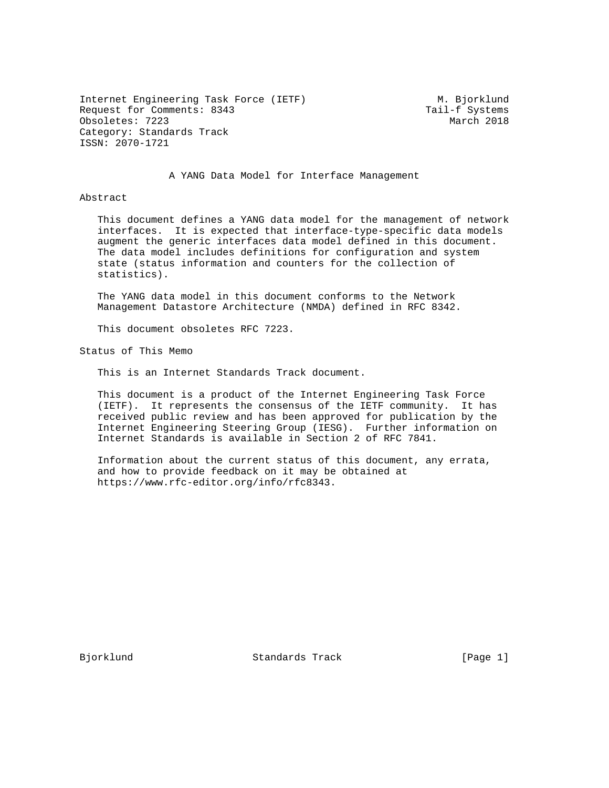Internet Engineering Task Force (IETF) M. Bjorklund Request for Comments: 8343 Tail-f Systems Obsoletes: 7223 March 2018 Category: Standards Track ISSN: 2070-1721

A YANG Data Model for Interface Management

Abstract

 This document defines a YANG data model for the management of network interfaces. It is expected that interface-type-specific data models augment the generic interfaces data model defined in this document. The data model includes definitions for configuration and system state (status information and counters for the collection of statistics).

 The YANG data model in this document conforms to the Network Management Datastore Architecture (NMDA) defined in RFC 8342.

This document obsoletes RFC 7223.

Status of This Memo

This is an Internet Standards Track document.

 This document is a product of the Internet Engineering Task Force (IETF). It represents the consensus of the IETF community. It has received public review and has been approved for publication by the Internet Engineering Steering Group (IESG). Further information on Internet Standards is available in Section 2 of RFC 7841.

 Information about the current status of this document, any errata, and how to provide feedback on it may be obtained at https://www.rfc-editor.org/info/rfc8343.

Bjorklund Standards Track [Page 1]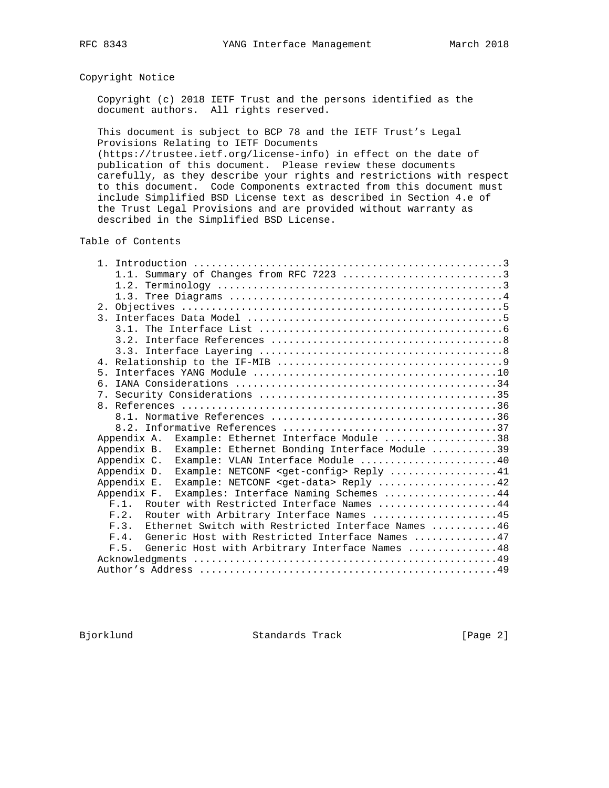### Copyright Notice

 Copyright (c) 2018 IETF Trust and the persons identified as the document authors. All rights reserved.

 This document is subject to BCP 78 and the IETF Trust's Legal Provisions Relating to IETF Documents

 (https://trustee.ietf.org/license-info) in effect on the date of publication of this document. Please review these documents carefully, as they describe your rights and restrictions with respect to this document. Code Components extracted from this document must include Simplified BSD License text as described in Section 4.e of the Trust Legal Provisions and are provided without warranty as described in the Simplified BSD License.

Table of Contents

| 5 <sub>1</sub>                                                     |
|--------------------------------------------------------------------|
| 6                                                                  |
|                                                                    |
|                                                                    |
|                                                                    |
|                                                                    |
| Example: Ethernet Interface Module 38<br>Appendix A.               |
| Example: Ethernet Bonding Interface Module 39<br>Appendix B.       |
| Example: VLAN Interface Module 40<br>Appendix C.                   |
| Appendix D.<br>Example: NETCONF <get-config> Reply 41</get-config> |
| Example: NETCONF <get-data> Reply 42<br/>Appendix E.</get-data>    |
| Appendix F.<br>Examples: Interface Naming Schemes 44               |
| F.1. Router with Restricted Interface Names 44                     |
| Router with Arbitrary Interface Names 45<br>F.2.                   |
| Ethernet Switch with Restricted Interface Names 46<br>F.3.         |
| Generic Host with Restricted Interface Names 47<br>F 4             |
| Generic Host with Arbitrary Interface Names 48<br>F.5.             |
|                                                                    |
|                                                                    |

Bjorklund Standards Track [Page 2]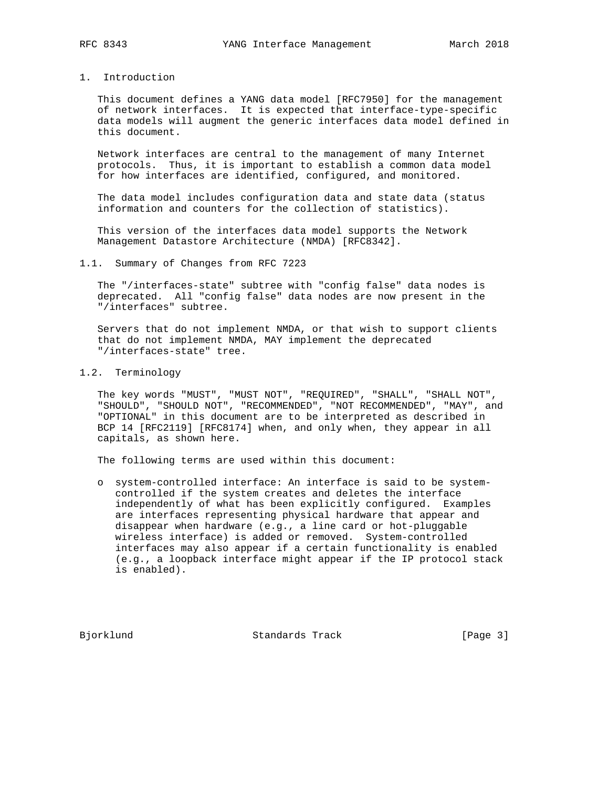1. Introduction

 This document defines a YANG data model [RFC7950] for the management of network interfaces. It is expected that interface-type-specific data models will augment the generic interfaces data model defined in this document.

 Network interfaces are central to the management of many Internet protocols. Thus, it is important to establish a common data model for how interfaces are identified, configured, and monitored.

 The data model includes configuration data and state data (status information and counters for the collection of statistics).

 This version of the interfaces data model supports the Network Management Datastore Architecture (NMDA) [RFC8342].

1.1. Summary of Changes from RFC 7223

 The "/interfaces-state" subtree with "config false" data nodes is deprecated. All "config false" data nodes are now present in the "/interfaces" subtree.

 Servers that do not implement NMDA, or that wish to support clients that do not implement NMDA, MAY implement the deprecated "/interfaces-state" tree.

1.2. Terminology

 The key words "MUST", "MUST NOT", "REQUIRED", "SHALL", "SHALL NOT", "SHOULD", "SHOULD NOT", "RECOMMENDED", "NOT RECOMMENDED", "MAY", and "OPTIONAL" in this document are to be interpreted as described in BCP 14 [RFC2119] [RFC8174] when, and only when, they appear in all capitals, as shown here.

The following terms are used within this document:

 o system-controlled interface: An interface is said to be system controlled if the system creates and deletes the interface independently of what has been explicitly configured. Examples are interfaces representing physical hardware that appear and disappear when hardware (e.g., a line card or hot-pluggable wireless interface) is added or removed. System-controlled interfaces may also appear if a certain functionality is enabled (e.g., a loopback interface might appear if the IP protocol stack is enabled).

Bjorklund Standards Track [Page 3]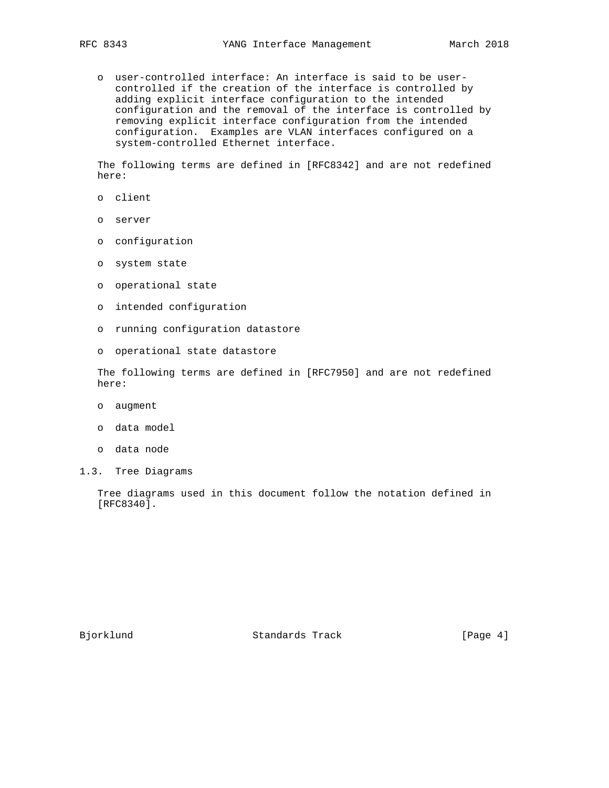o user-controlled interface: An interface is said to be user controlled if the creation of the interface is controlled by adding explicit interface configuration to the intended configuration and the removal of the interface is controlled by removing explicit interface configuration from the intended configuration. Examples are VLAN interfaces configured on a system-controlled Ethernet interface.

 The following terms are defined in [RFC8342] and are not redefined here:

- o client
- o server
- o configuration
- o system state
- o operational state
- o intended configuration
- o running configuration datastore
- o operational state datastore

 The following terms are defined in [RFC7950] and are not redefined here:

- o augment
- o data model
- o data node
- 1.3. Tree Diagrams

 Tree diagrams used in this document follow the notation defined in [RFC8340].

Bjorklund Standards Track [Page 4]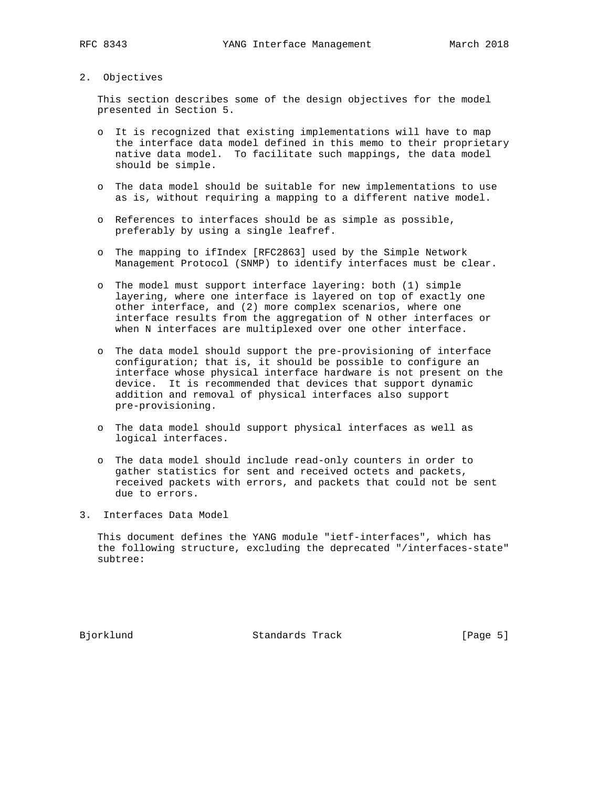### 2. Objectives

 This section describes some of the design objectives for the model presented in Section 5.

- o It is recognized that existing implementations will have to map the interface data model defined in this memo to their proprietary native data model. To facilitate such mappings, the data model should be simple.
- o The data model should be suitable for new implementations to use as is, without requiring a mapping to a different native model.
- o References to interfaces should be as simple as possible, preferably by using a single leafref.
- o The mapping to ifIndex [RFC2863] used by the Simple Network Management Protocol (SNMP) to identify interfaces must be clear.
- o The model must support interface layering: both (1) simple layering, where one interface is layered on top of exactly one other interface, and (2) more complex scenarios, where one interface results from the aggregation of N other interfaces or when N interfaces are multiplexed over one other interface.
- o The data model should support the pre-provisioning of interface configuration; that is, it should be possible to configure an interface whose physical interface hardware is not present on the device. It is recommended that devices that support dynamic addition and removal of physical interfaces also support pre-provisioning.
- o The data model should support physical interfaces as well as logical interfaces.
- o The data model should include read-only counters in order to gather statistics for sent and received octets and packets, received packets with errors, and packets that could not be sent due to errors.
- 3. Interfaces Data Model

 This document defines the YANG module "ietf-interfaces", which has the following structure, excluding the deprecated "/interfaces-state" subtree:

Bjorklund Standards Track [Page 5]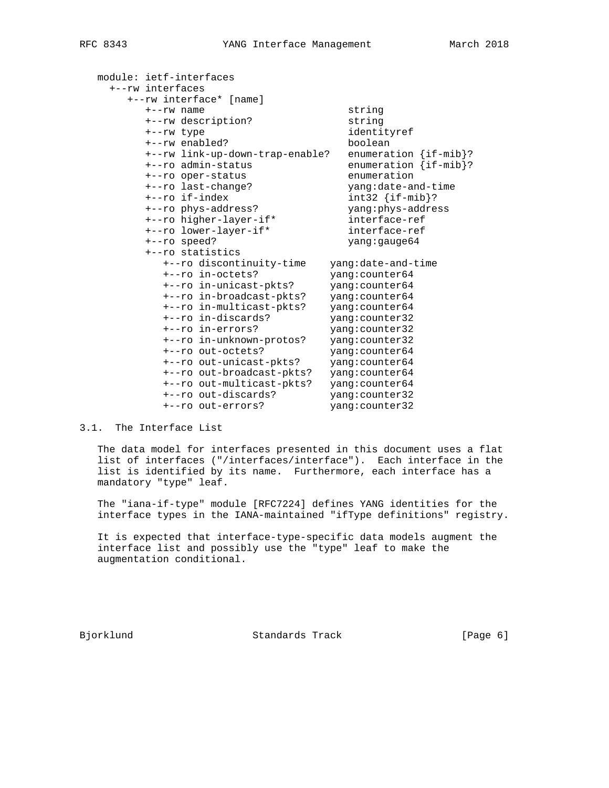| module: ietf-interfaces |                                 |                             |
|-------------------------|---------------------------------|-----------------------------|
| +--rw interfaces        |                                 |                             |
|                         | +--rw interface* [name]         |                             |
| $+ -r$ w name           |                                 | string                      |
|                         | +--rw description?              | string                      |
| +--rw type              |                                 | identityref                 |
| +--rw enabled?          |                                 | boolean                     |
|                         | +--rw link-up-down-trap-enable? | enumeration $\{if -mib\}$ ? |
|                         | +--ro admin-status              | enumeration {if-mib}?       |
|                         | +--ro oper-status               | enumeration                 |
|                         | +--ro last-change?              | yang:date-and-time          |
| +--ro if-index          |                                 | $int32 \{if-mib\}$ ?        |
|                         | +--ro phys-address?             | yang:phys-address           |
|                         | +--ro higher-layer-if*          | interface-ref               |
|                         | +--ro lower-layer-if*           | interface-ref               |
| +--ro speed?            |                                 | yang: gauge 64              |
| +--ro statistics        |                                 |                             |
|                         | +--ro discontinuity-time        | yang:date-and-time          |
|                         | +--ro in-octets?                | yang: counter64             |
|                         | +--ro in-unicast-pkts?          | yang: counter64             |
|                         | +--ro in-broadcast-pkts?        | yang: counter64             |
|                         | +--ro in-multicast-pkts?        | yang: counter64             |
|                         | +--ro in-discards?              | yang: counter32             |
|                         | +--ro in-errors?                | yang: counter32             |
|                         | +--ro in-unknown-protos?        | yang: counter32             |
|                         | +--ro out-octets?               | yang: counter64             |
|                         | +--ro out-unicast-pkts?         | yang: counter64             |
|                         | +--ro out-broadcast-pkts?       | yang: counter64             |
|                         | +--ro out-multicast-pkts?       | yang: counter64             |
|                         | +--ro out-discards?             | yang: counter32             |
|                         | +--ro out-errors?               | yang: counter32             |

### 3.1. The Interface List

 The data model for interfaces presented in this document uses a flat list of interfaces ("/interfaces/interface"). Each interface in the list is identified by its name. Furthermore, each interface has a mandatory "type" leaf.

 The "iana-if-type" module [RFC7224] defines YANG identities for the interface types in the IANA-maintained "ifType definitions" registry.

 It is expected that interface-type-specific data models augment the interface list and possibly use the "type" leaf to make the augmentation conditional.

Bjorklund Standards Track [Page 6]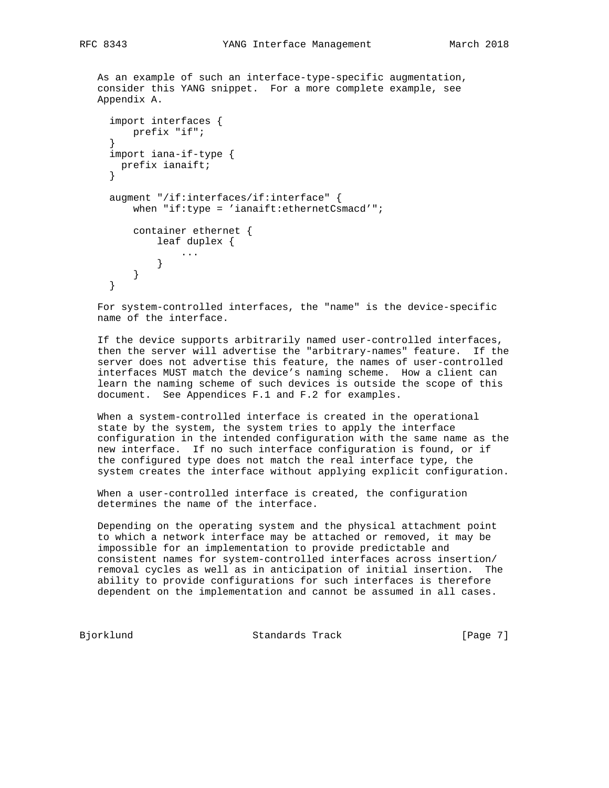```
 As an example of such an interface-type-specific augmentation,
   consider this YANG snippet. For a more complete example, see
   Appendix A.
      import interfaces {
         prefix "if";
 }
      import iana-if-type {
       prefix ianaift;
      }
      augment "/if:interfaces/if:interface" {
          when "if:type = 'ianaift:ethernetCsmacd'";
          container ethernet {
             leaf duplex {
                  ...
             }
         }
      }
```
 For system-controlled interfaces, the "name" is the device-specific name of the interface.

 If the device supports arbitrarily named user-controlled interfaces, then the server will advertise the "arbitrary-names" feature. If the server does not advertise this feature, the names of user-controlled interfaces MUST match the device's naming scheme. How a client can learn the naming scheme of such devices is outside the scope of this document. See Appendices F.1 and F.2 for examples.

 When a system-controlled interface is created in the operational state by the system, the system tries to apply the interface configuration in the intended configuration with the same name as the new interface. If no such interface configuration is found, or if the configured type does not match the real interface type, the system creates the interface without applying explicit configuration.

 When a user-controlled interface is created, the configuration determines the name of the interface.

 Depending on the operating system and the physical attachment point to which a network interface may be attached or removed, it may be impossible for an implementation to provide predictable and consistent names for system-controlled interfaces across insertion/ removal cycles as well as in anticipation of initial insertion. The ability to provide configurations for such interfaces is therefore dependent on the implementation and cannot be assumed in all cases.

Bjorklund Standards Track [Page 7]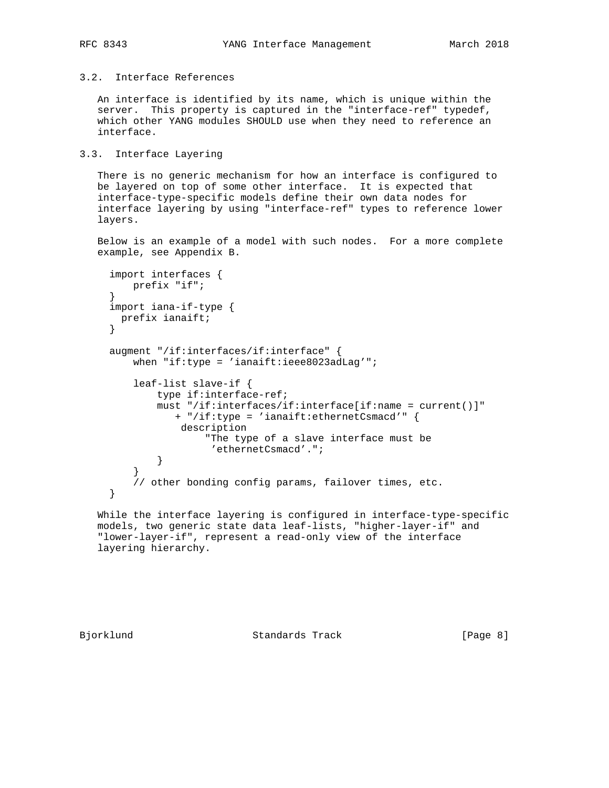## 3.2. Interface References

 An interface is identified by its name, which is unique within the server. This property is captured in the "interface-ref" typedef, which other YANG modules SHOULD use when they need to reference an interface.

### 3.3. Interface Layering

 There is no generic mechanism for how an interface is configured to be layered on top of some other interface. It is expected that interface-type-specific models define their own data nodes for interface layering by using "interface-ref" types to reference lower layers.

 Below is an example of a model with such nodes. For a more complete example, see Appendix B.

```
 import interfaces {
         prefix "if";
 }
     import iana-if-type {
      prefix ianaift;
     }
     augment "/if:interfaces/if:interface" {
        when "if:type = 'ianaift:ieee8023adLag'";
         leaf-list slave-if {
             type if:interface-ref;
             must "/if:interfaces/if:interface[if:name = current()]"
                + "/if:type = 'ianaift:ethernetCsmacd'" {
                 description
                     "The type of a slave interface must be
             'ethernetCsmacd'.";
 }
 }
         // other bonding config params, failover times, etc.
     }
```
 While the interface layering is configured in interface-type-specific models, two generic state data leaf-lists, "higher-layer-if" and "lower-layer-if", represent a read-only view of the interface layering hierarchy.

Bjorklund Standards Track [Page 8]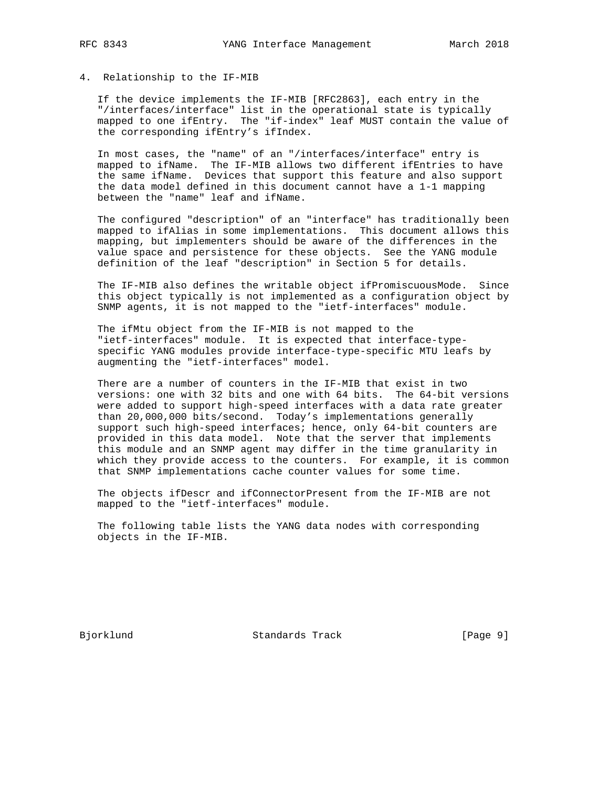# 4. Relationship to the IF-MIB

 If the device implements the IF-MIB [RFC2863], each entry in the "/interfaces/interface" list in the operational state is typically mapped to one ifEntry. The "if-index" leaf MUST contain the value of the corresponding ifEntry's ifIndex.

 In most cases, the "name" of an "/interfaces/interface" entry is mapped to ifName. The IF-MIB allows two different ifEntries to have the same ifName. Devices that support this feature and also support the data model defined in this document cannot have a 1-1 mapping between the "name" leaf and ifName.

 The configured "description" of an "interface" has traditionally been mapped to ifAlias in some implementations. This document allows this mapping, but implementers should be aware of the differences in the value space and persistence for these objects. See the YANG module definition of the leaf "description" in Section 5 for details.

 The IF-MIB also defines the writable object ifPromiscuousMode. Since this object typically is not implemented as a configuration object by SNMP agents, it is not mapped to the "ietf-interfaces" module.

 The ifMtu object from the IF-MIB is not mapped to the "ietf-interfaces" module. It is expected that interface-type specific YANG modules provide interface-type-specific MTU leafs by augmenting the "ietf-interfaces" model.

 There are a number of counters in the IF-MIB that exist in two versions: one with 32 bits and one with 64 bits. The 64-bit versions were added to support high-speed interfaces with a data rate greater than 20,000,000 bits/second. Today's implementations generally support such high-speed interfaces; hence, only 64-bit counters are provided in this data model. Note that the server that implements this module and an SNMP agent may differ in the time granularity in which they provide access to the counters. For example, it is common that SNMP implementations cache counter values for some time.

 The objects ifDescr and ifConnectorPresent from the IF-MIB are not mapped to the "ietf-interfaces" module.

 The following table lists the YANG data nodes with corresponding objects in the IF-MIB.

Bjorklund Standards Track [Page 9]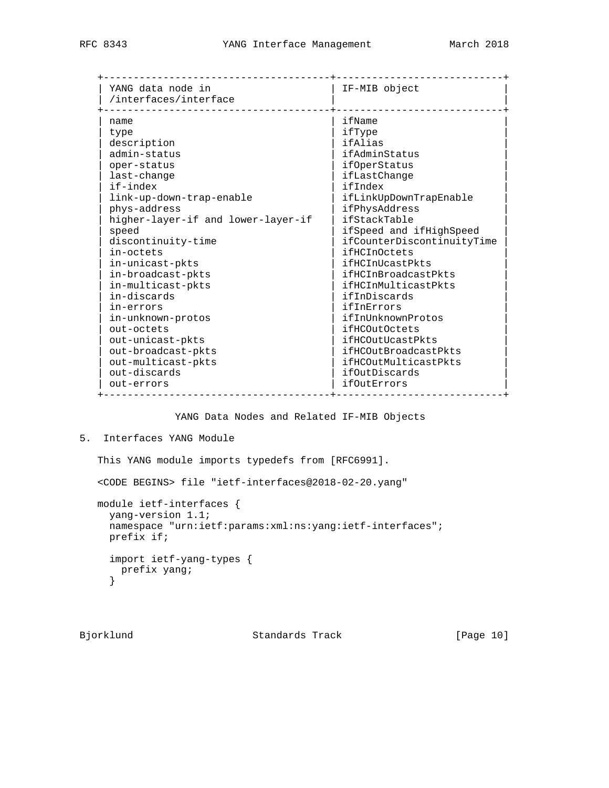| YANG data node in<br>/interfaces/interface | IF-MIB object              |
|--------------------------------------------|----------------------------|
| name                                       | ifName                     |
| type                                       | ifType                     |
| description                                | ifAlias                    |
| admin-status                               | ifAdminStatus              |
| oper-status                                | ifOperStatus               |
| last-change                                | ifLastChange               |
| if-index                                   | ifIndex                    |
| link-up-down-trap-enable                   | ifLinkUpDownTrapEnable     |
| phys-address                               | ifPhysAddress              |
| higher-layer-if and lower-layer-if         | ifStackTable               |
| speed                                      | ifSpeed and ifHighSpeed    |
| discontinuity-time                         | ifCounterDiscontinuityTime |
| in-octets                                  | <i>ifHCInOctets</i>        |
| in-unicast-pkts                            | ifHCInUcastPkts            |
| in-broadcast-pkts                          | ifHCInBroadcastPkts        |
| in-multicast-pkts                          | ifHCInMulticastPkts        |
| in-discards                                | ifInDiscards               |
| in-errors                                  | ifInErrors                 |
| in-unknown-protos                          | ifInUnknownProtos          |
| out-octets                                 | <i>ifHCOutOctets</i>       |
| out-unicast-pkts                           | ifHCOutUcastPkts           |
| out-broadcast-pkts                         | ifHCOutBroadcastPkts       |
| out-multicast-pkts                         | ifHCOutMulticastPkts       |
| out-discards                               | ifOutDiscards              |
| out-errors                                 | ifOutErrors                |

YANG Data Nodes and Related IF-MIB Objects

```
5. Interfaces YANG Module
```
This YANG module imports typedefs from [RFC6991].

<CODE BEGINS> file "ietf-interfaces@2018-02-20.yang"

 module ietf-interfaces { yang-version 1.1; namespace "urn:ietf:params:xml:ns:yang:ietf-interfaces"; prefix if; import ietf-yang-types { prefix yang; }

Bjorklund Standards Track [Page 10]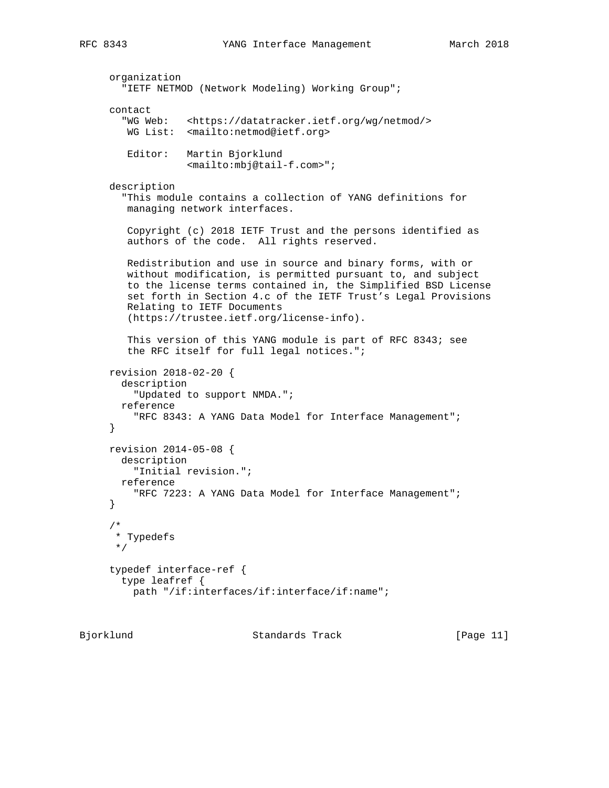```
 organization
   "IETF NETMOD (Network Modeling) Working Group";
 contact
   "WG Web: <https://datatracker.ietf.org/wg/netmod/>
   WG List: <mailto:netmod@ietf.org>
    Editor: Martin Bjorklund
             <mailto:mbj@tail-f.com>";
 description
   "This module contains a collection of YANG definitions for
   managing network interfaces.
    Copyright (c) 2018 IETF Trust and the persons identified as
    authors of the code. All rights reserved.
   Redistribution and use in source and binary forms, with or
   without modification, is permitted pursuant to, and subject
   to the license terms contained in, the Simplified BSD License
   set forth in Section 4.c of the IETF Trust's Legal Provisions
   Relating to IETF Documents
    (https://trustee.ietf.org/license-info).
    This version of this YANG module is part of RFC 8343; see
    the RFC itself for full legal notices.";
 revision 2018-02-20 {
  description
     "Updated to support NMDA.";
  reference
     "RFC 8343: A YANG Data Model for Interface Management";
 }
 revision 2014-05-08 {
  description
     "Initial revision.";
  reference
     "RFC 7223: A YANG Data Model for Interface Management";
 }
 /*
 * Typedefs
 */
 typedef interface-ref {
  type leafref {
    path "/if:interfaces/if:interface/if:name";
```
Bjorklund Standards Track [Page 11]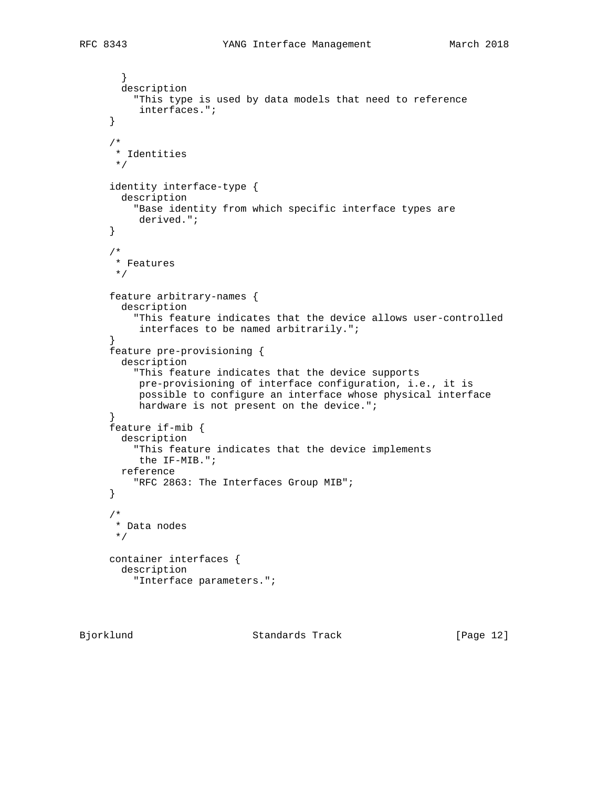```
 }
   description
     "This type is used by data models that need to reference
      interfaces.";
 }
 /*
  * Identities
 */
 identity interface-type {
  description
     "Base identity from which specific interface types are
      derived.";
 }
 /*
 * Features
 */
 feature arbitrary-names {
   description
     "This feature indicates that the device allows user-controlled
     interfaces to be named arbitrarily.";
 }
 feature pre-provisioning {
   description
     "This feature indicates that the device supports
      pre-provisioning of interface configuration, i.e., it is
      possible to configure an interface whose physical interface
      hardware is not present on the device.";
 }
 feature if-mib {
   description
     "This feature indicates that the device implements
      the IF-MIB.";
  reference
    "RFC 2863: The Interfaces Group MIB";
 }
 /*
  * Data nodes
  */
 container interfaces {
   description
     "Interface parameters.";
```
Bjorklund Standards Track [Page 12]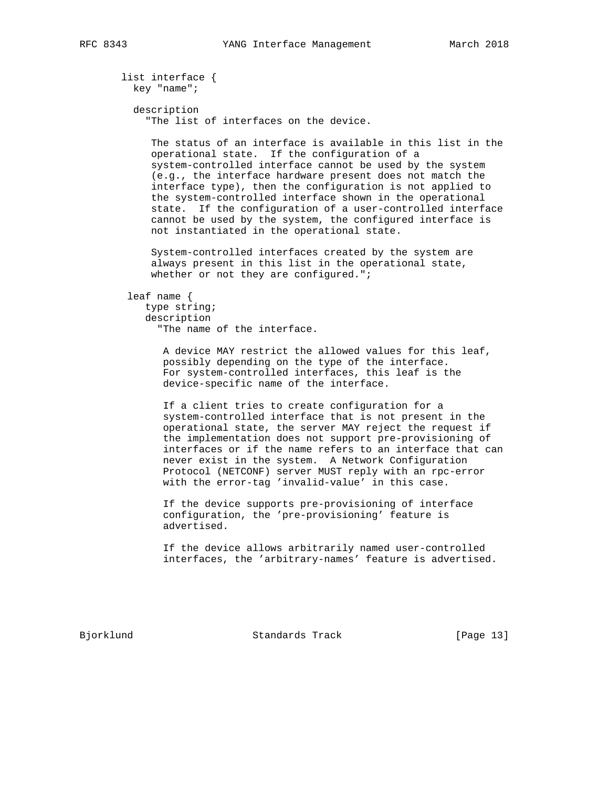list interface { key "name"; description "The list of interfaces on the device. The status of an interface is available in this list in the operational state. If the configuration of a system-controlled interface cannot be used by the system (e.g., the interface hardware present does not match the interface type), then the configuration is not applied to the system-controlled interface shown in the operational state. If the configuration of a user-controlled interface cannot be used by the system, the configured interface is not instantiated in the operational state. System-controlled interfaces created by the system are always present in this list in the operational state, whether or not they are configured.";

leaf name {

 type string; description "The name of the interface.

> A device MAY restrict the allowed values for this leaf, possibly depending on the type of the interface. For system-controlled interfaces, this leaf is the device-specific name of the interface.

 If a client tries to create configuration for a system-controlled interface that is not present in the operational state, the server MAY reject the request if the implementation does not support pre-provisioning of interfaces or if the name refers to an interface that can never exist in the system. A Network Configuration Protocol (NETCONF) server MUST reply with an rpc-error with the error-tag 'invalid-value' in this case.

 If the device supports pre-provisioning of interface configuration, the 'pre-provisioning' feature is advertised.

 If the device allows arbitrarily named user-controlled interfaces, the 'arbitrary-names' feature is advertised.

Bjorklund Standards Track [Page 13]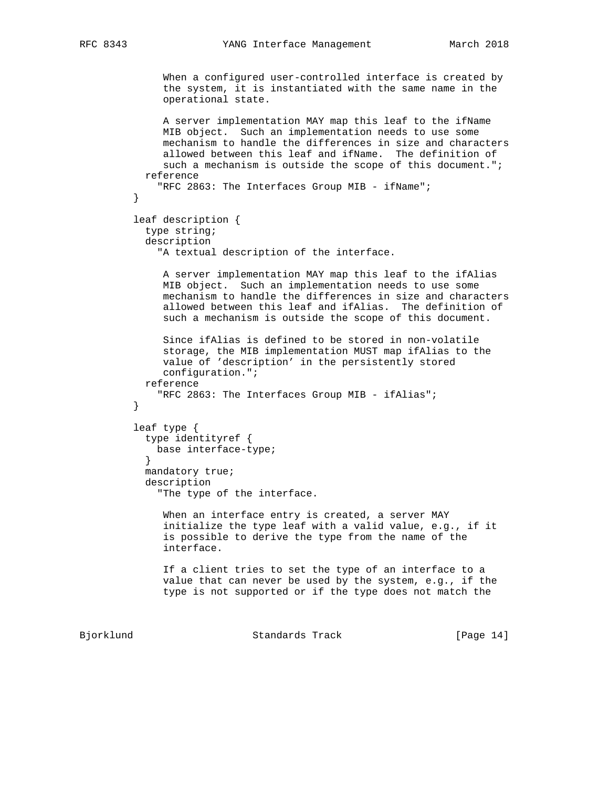```
 When a configured user-controlled interface is created by
              the system, it is instantiated with the same name in the
              operational state.
              A server implementation MAY map this leaf to the ifName
              MIB object. Such an implementation needs to use some
              mechanism to handle the differences in size and characters
              allowed between this leaf and ifName. The definition of
             such a mechanism is outside the scope of this document.";
           reference
          "RFC 2863: The Interfaces Group MIB - ifName";
 }
         leaf description {
           type string;
           description
              "A textual description of the interface.
              A server implementation MAY map this leaf to the ifAlias
              MIB object. Such an implementation needs to use some
              mechanism to handle the differences in size and characters
              allowed between this leaf and ifAlias. The definition of
              such a mechanism is outside the scope of this document.
              Since ifAlias is defined to be stored in non-volatile
              storage, the MIB implementation MUST map ifAlias to the
              value of 'description' in the persistently stored
              configuration.";
           reference
          "RFC 2863: The Interfaces Group MIB - ifAlias";
 }
         leaf type {
           type identityref {
             base interface-type;
 }
           mandatory true;
           description
              "The type of the interface.
              When an interface entry is created, a server MAY
              initialize the type leaf with a valid value, e.g., if it
              is possible to derive the type from the name of the
              interface.
              If a client tries to set the type of an interface to a
              value that can never be used by the system, e.g., if the
              type is not supported or if the type does not match the
```
Bjorklund Standards Track [Page 14]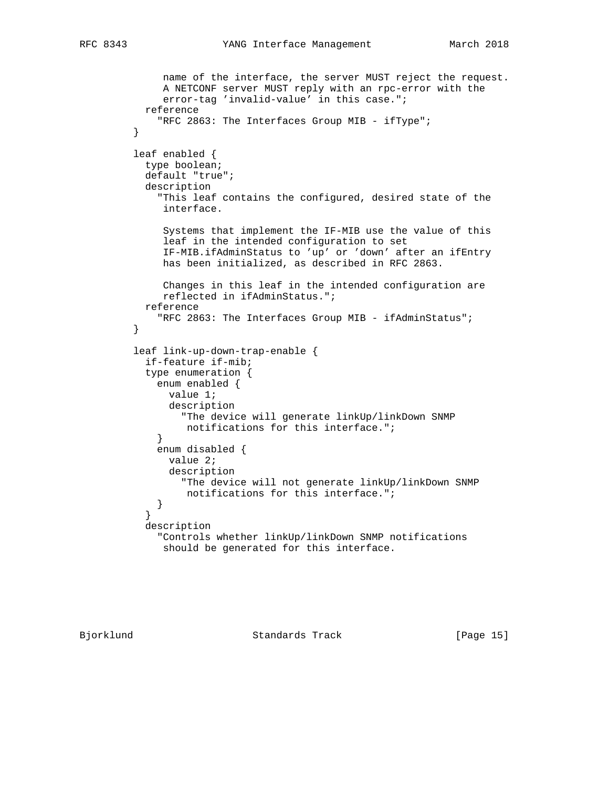```
 name of the interface, the server MUST reject the request.
              A NETCONF server MUST reply with an rpc-error with the
              error-tag 'invalid-value' in this case.";
           reference
            "RFC 2863: The Interfaces Group MIB - ifType";
 }
         leaf enabled {
           type boolean;
           default "true";
           description
             "This leaf contains the configured, desired state of the
              interface.
              Systems that implement the IF-MIB use the value of this
              leaf in the intended configuration to set
              IF-MIB.ifAdminStatus to 'up' or 'down' after an ifEntry
              has been initialized, as described in RFC 2863.
              Changes in this leaf in the intended configuration are
              reflected in ifAdminStatus.";
           reference
         "RFC 2863: The Interfaces Group MIB - ifAdminStatus";
 }
         leaf link-up-down-trap-enable {
           if-feature if-mib;
           type enumeration {
             enum enabled {
               value 1;
               description
                 "The device will generate linkUp/linkDown SNMP
            notifications for this interface.";<br>}
 }
             enum disabled {
               value 2;
               description
                 "The device will not generate linkUp/linkDown SNMP
            notifications for this interface.";<br>}
 }
 }
           description
             "Controls whether linkUp/linkDown SNMP notifications
              should be generated for this interface.
```
Bjorklund Standards Track [Page 15]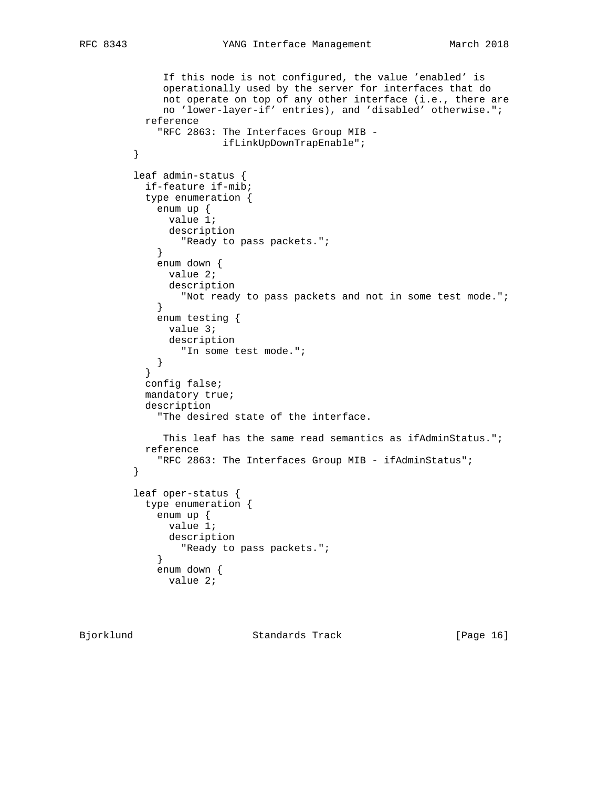```
 If this node is not configured, the value 'enabled' is
              operationally used by the server for interfaces that do
              not operate on top of any other interface (i.e., there are
              no 'lower-layer-if' entries), and 'disabled' otherwise.";
           reference
             "RFC 2863: The Interfaces Group MIB -
        ifLinkUpDownTrapEnable";<br>}
 }
         leaf admin-status {
           if-feature if-mib;
           type enumeration {
            enum up {
              value 1;
              description
            "Ready to pass packets.";<br>}
 }
             enum down {
              value 2;
              description
                 "Not ready to pass packets and not in some test mode.";
 }
             enum testing {
              value 3;
              description
             "In some test mode.";
 }
 }
           config false;
           mandatory true;
           description
             "The desired state of the interface.
             This leaf has the same read semantics as ifAdminStatus.";
           reference
         "RFC 2863: The Interfaces Group MIB - ifAdminStatus";
 }
         leaf oper-status {
           type enumeration {
            enum up {
              value 1;
              description
            "Ready to pass packets.";<br>}
 }
             enum down {
              value 2;
```
Bjorklund Standards Track [Page 16]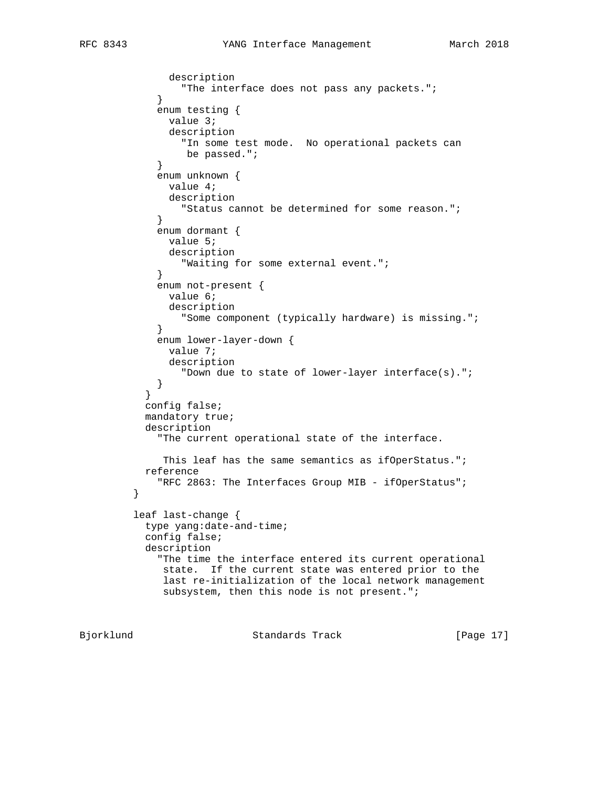```
 description
            "The interface does not pass any packets."\mathfrak{i} }
             enum testing {
              value 3;
               description
                 "In some test mode. No operational packets can
            be passed.";<br>}
 }
             enum unknown {
              value 4;
              description
             "Status cannot be determined for some reason.";
 }
             enum dormant {
              value 5;
              description
                 "Waiting for some external event.";
 }
             enum not-present {
              value 6;
              description
             "Some component (typically hardware) is missing.";
 }
             enum lower-layer-down {
              value 7;
               description
                 "Down due to state of lower-layer interface(s).";
 }
 }
           config false;
           mandatory true;
           description
             "The current operational state of the interface.
             This leaf has the same semantics as ifOperStatus.";
           reference
         "RFC 2863: The Interfaces Group MIB - ifOperStatus";
 }
         leaf last-change {
           type yang:date-and-time;
           config false;
           description
             "The time the interface entered its current operational
              state. If the current state was entered prior to the
              last re-initialization of the local network management
             subsystem, then this node is not present.";
```
Bjorklund Standards Track [Page 17]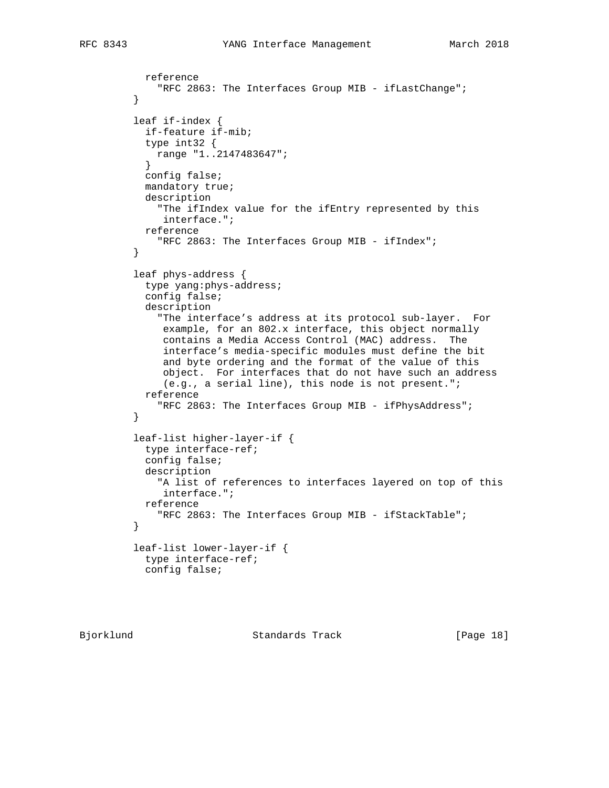```
 reference
          "RFC 2863: The Interfaces Group MIB - ifLastChange";
 }
         leaf if-index {
           if-feature if-mib;
           type int32 {
            range "1..2147483647";
 }
           config false;
           mandatory true;
           description
             "The ifIndex value for the ifEntry represented by this
              interface.";
           reference
             "RFC 2863: The Interfaces Group MIB - ifIndex";
         }
         leaf phys-address {
           type yang:phys-address;
           config false;
           description
              "The interface's address at its protocol sub-layer. For
              example, for an 802.x interface, this object normally
              contains a Media Access Control (MAC) address. The
              interface's media-specific modules must define the bit
              and byte ordering and the format of the value of this
              object. For interfaces that do not have such an address
              (e.g., a serial line), this node is not present.";
           reference
          "RFC 2863: The Interfaces Group MIB - ifPhysAddress";
 }
         leaf-list higher-layer-if {
           type interface-ref;
           config false;
           description
             "A list of references to interfaces layered on top of this
              interface.";
           reference
             "RFC 2863: The Interfaces Group MIB - ifStackTable";
         }
         leaf-list lower-layer-if {
           type interface-ref;
           config false;
```
Bjorklund Standards Track [Page 18]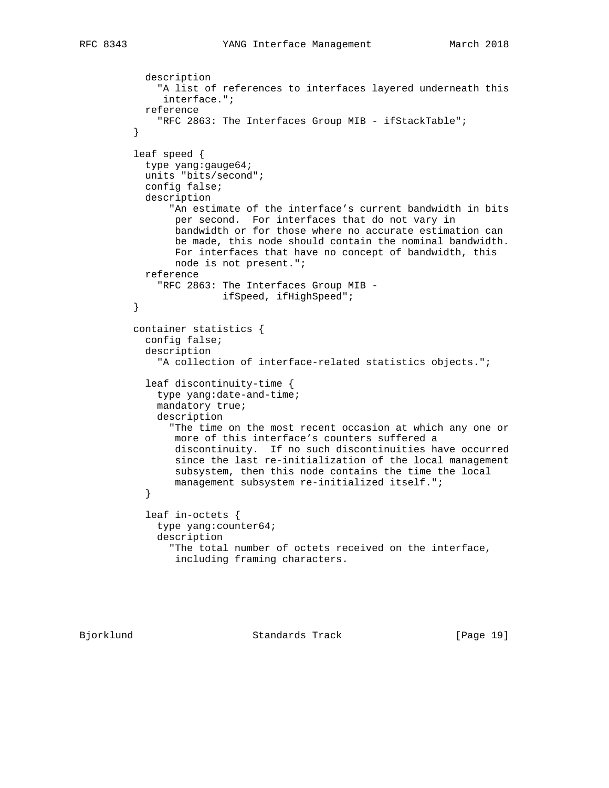```
 description
              "A list of references to interfaces layered underneath this
               interface.";
            reference
              "RFC 2863: The Interfaces Group MIB - ifStackTable";
 }
          leaf speed {
           type yang:gauge64;
            units "bits/second";
           config false;
            description
                "An estimate of the interface's current bandwidth in bits
                 per second. For interfaces that do not vary in
                 bandwidth or for those where no accurate estimation can
                 be made, this node should contain the nominal bandwidth.
                 For interfaces that have no concept of bandwidth, this
                 node is not present.";
           reference
              "RFC 2863: The Interfaces Group MIB -
                        ifSpeed, ifHighSpeed";
          }
         container statistics {
            config false;
            description
              "A collection of interface-related statistics objects.";
            leaf discontinuity-time {
              type yang:date-and-time;
              mandatory true;
              description
                "The time on the most recent occasion at which any one or
                more of this interface's counters suffered a
                 discontinuity. If no such discontinuities have occurred
                 since the last re-initialization of the local management
                 subsystem, then this node contains the time the local
           management subsystem re-initialized itself.";<br>}
 }
            leaf in-octets {
              type yang:counter64;
              description
                "The total number of octets received on the interface,
                 including framing characters.
```
Bjorklund Standards Track [Page 19]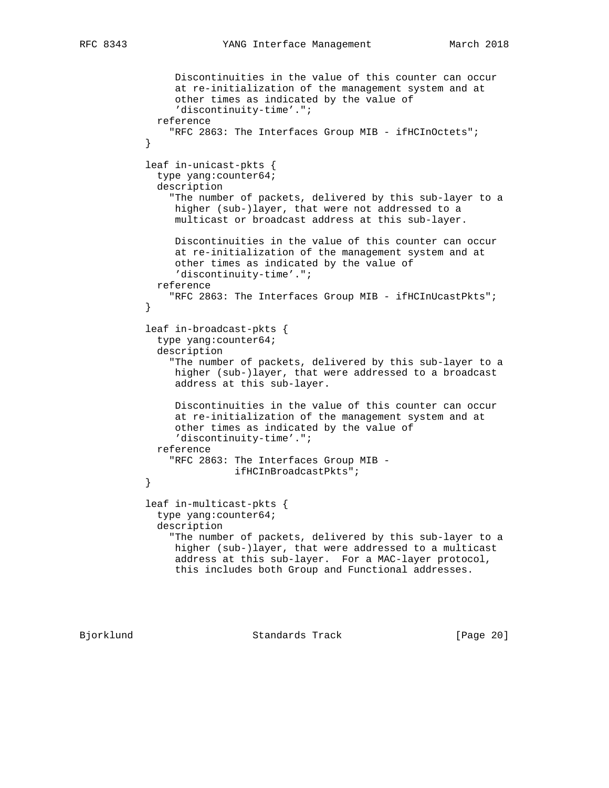```
 Discontinuities in the value of this counter can occur
                at re-initialization of the management system and at
                other times as indicated by the value of
                 'discontinuity-time'.";
             reference
               "RFC 2863: The Interfaces Group MIB - ifHCInOctets";
 }
           leaf in-unicast-pkts {
             type yang:counter64;
             description
               "The number of packets, delivered by this sub-layer to a
                higher (sub-)layer, that were not addressed to a
                multicast or broadcast address at this sub-layer.
                Discontinuities in the value of this counter can occur
                at re-initialization of the management system and at
                other times as indicated by the value of
                'discontinuity-time'.";
             reference
               "RFC 2863: The Interfaces Group MIB - ifHCInUcastPkts";
 }
           leaf in-broadcast-pkts {
             type yang:counter64;
             description
                "The number of packets, delivered by this sub-layer to a
                higher (sub-)layer, that were addressed to a broadcast
                address at this sub-layer.
                Discontinuities in the value of this counter can occur
                at re-initialization of the management system and at
                other times as indicated by the value of
                'discontinuity-time'.";
             reference
               "RFC 2863: The Interfaces Group MIB -
           ifHCInBroadcastPkts";
 }
           leaf in-multicast-pkts {
             type yang:counter64;
             description
               "The number of packets, delivered by this sub-layer to a
                higher (sub-)layer, that were addressed to a multicast
                address at this sub-layer. For a MAC-layer protocol,
                this includes both Group and Functional addresses.
```
Bjorklund Standards Track [Page 20]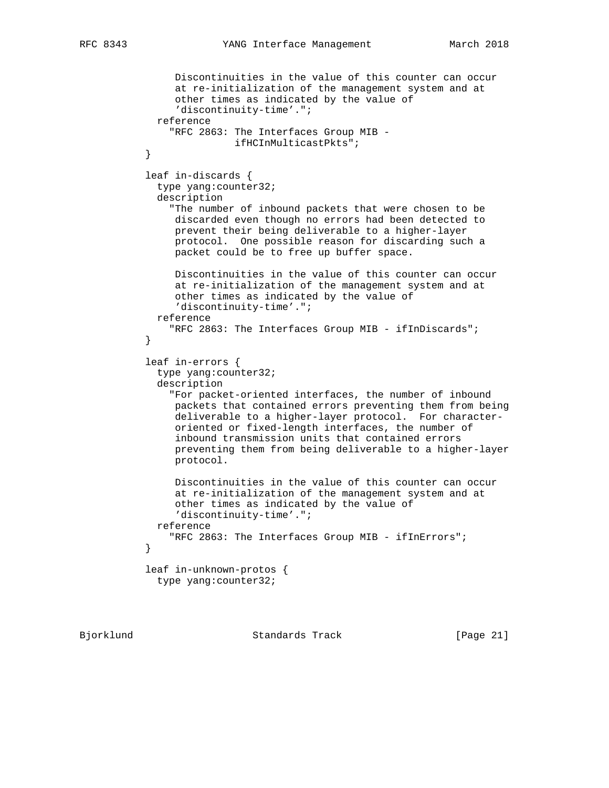```
 Discontinuities in the value of this counter can occur
                at re-initialization of the management system and at
                other times as indicated by the value of
                 'discontinuity-time'.";
             reference
                "RFC 2863: The Interfaces Group MIB -
            ifHCInMulticastPkts";
 }
           leaf in-discards {
             type yang:counter32;
             description
               "The number of inbound packets that were chosen to be
                discarded even though no errors had been detected to
                prevent their being deliverable to a higher-layer
                protocol. One possible reason for discarding such a
                packet could be to free up buffer space.
                Discontinuities in the value of this counter can occur
                at re-initialization of the management system and at
                other times as indicated by the value of
                'discontinuity-time'.";
             reference
                "RFC 2863: The Interfaces Group MIB - ifInDiscards";
 }
           leaf in-errors {
             type yang:counter32;
             description
                "For packet-oriented interfaces, the number of inbound
                packets that contained errors preventing them from being
                deliverable to a higher-layer protocol. For character-
                oriented or fixed-length interfaces, the number of
                inbound transmission units that contained errors
                preventing them from being deliverable to a higher-layer
                protocol.
                Discontinuities in the value of this counter can occur
                at re-initialization of the management system and at
                other times as indicated by the value of
                'discontinuity-time'.";
             reference
               "RFC 2863: The Interfaces Group MIB - ifInErrors";
 }
           leaf in-unknown-protos {
             type yang:counter32;
```
Bjorklund Standards Track [Page 21]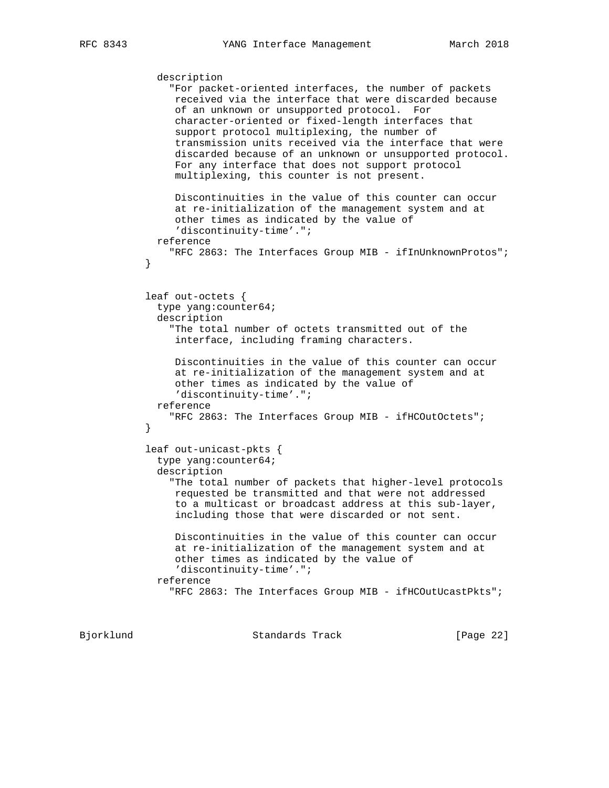description "For packet-oriented interfaces, the number of packets received via the interface that were discarded because of an unknown or unsupported protocol. For character-oriented or fixed-length interfaces that support protocol multiplexing, the number of transmission units received via the interface that were discarded because of an unknown or unsupported protocol. For any interface that does not support protocol multiplexing, this counter is not present. Discontinuities in the value of this counter can occur at re-initialization of the management system and at other times as indicated by the value of 'discontinuity-time'."; reference "RFC 2863: The Interfaces Group MIB - ifInUnknownProtos"; } leaf out-octets { type yang:counter64; description "The total number of octets transmitted out of the interface, including framing characters. Discontinuities in the value of this counter can occur at re-initialization of the management system and at other times as indicated by the value of 'discontinuity-time'."; reference "RFC 2863: The Interfaces Group MIB - ifHCOutOctets"; } leaf out-unicast-pkts { type yang:counter64; description "The total number of packets that higher-level protocols requested be transmitted and that were not addressed to a multicast or broadcast address at this sub-layer, including those that were discarded or not sent. Discontinuities in the value of this counter can occur at re-initialization of the management system and at other times as indicated by the value of 'discontinuity-time'."; reference "RFC 2863: The Interfaces Group MIB - ifHCOutUcastPkts";

Bjorklund Standards Track [Page 22]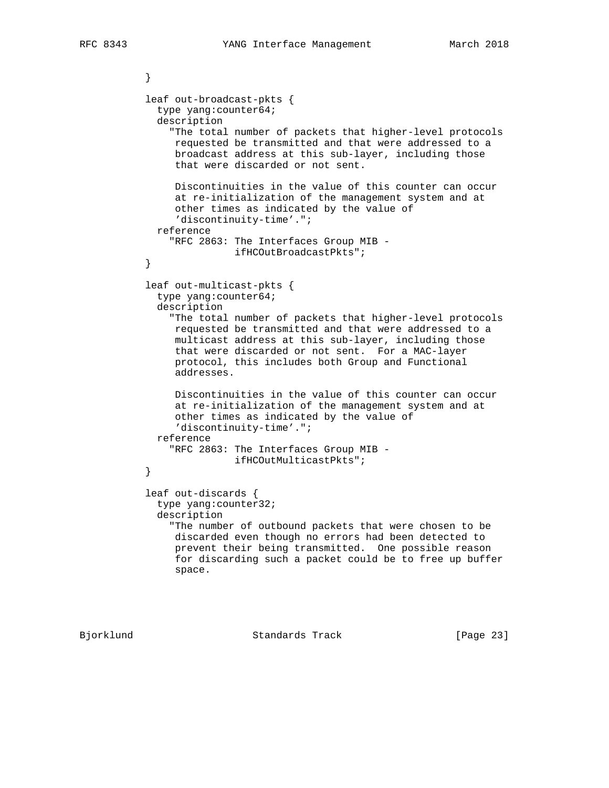```
 }
           leaf out-broadcast-pkts {
             type yang:counter64;
             description
               "The total number of packets that higher-level protocols
                requested be transmitted and that were addressed to a
                broadcast address at this sub-layer, including those
                that were discarded or not sent.
                Discontinuities in the value of this counter can occur
                at re-initialization of the management system and at
                other times as indicated by the value of
                'discontinuity-time'.";
             reference
               "RFC 2863: The Interfaces Group MIB -
           ifHCOutBroadcastPkts";
 }
           leaf out-multicast-pkts {
             type yang:counter64;
             description
               "The total number of packets that higher-level protocols
                requested be transmitted and that were addressed to a
                multicast address at this sub-layer, including those
                that were discarded or not sent. For a MAC-layer
                protocol, this includes both Group and Functional
                addresses.
                Discontinuities in the value of this counter can occur
                at re-initialization of the management system and at
                other times as indicated by the value of
                'discontinuity-time'.";
             reference
               "RFC 2863: The Interfaces Group MIB -
          ifHCOutMulticastPkts";
 }
           leaf out-discards {
             type yang:counter32;
             description
               "The number of outbound packets that were chosen to be
                discarded even though no errors had been detected to
                prevent their being transmitted. One possible reason
                for discarding such a packet could be to free up buffer
                space.
```
Bjorklund Standards Track [Page 23]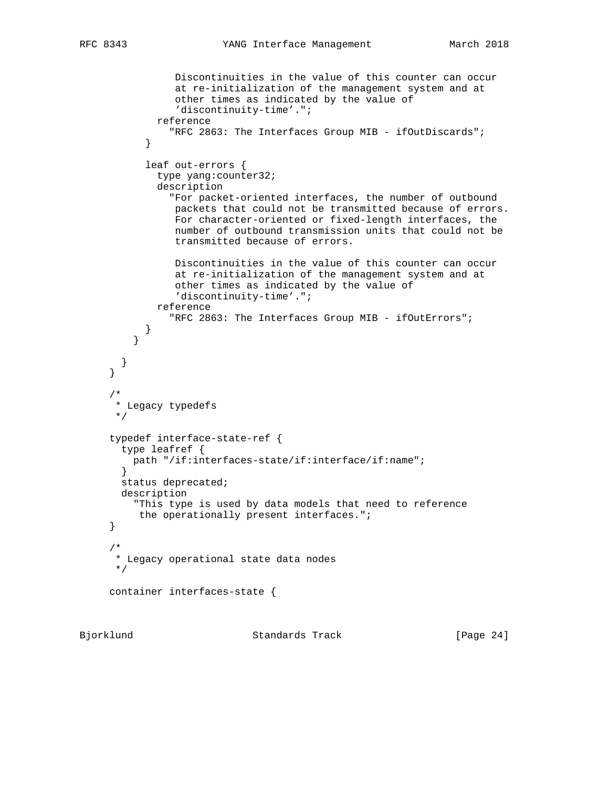```
 Discontinuities in the value of this counter can occur
                at re-initialization of the management system and at
                other times as indicated by the value of
                'discontinuity-time'.";
             reference
               "RFC 2863: The Interfaces Group MIB - ifOutDiscards";
 }
           leaf out-errors {
             type yang:counter32;
             description
               "For packet-oriented interfaces, the number of outbound
                packets that could not be transmitted because of errors.
                For character-oriented or fixed-length interfaces, the
                number of outbound transmission units that could not be
                transmitted because of errors.
                Discontinuities in the value of this counter can occur
                at re-initialization of the management system and at
                other times as indicated by the value of
                'discontinuity-time'.";
             reference
               "RFC 2863: The Interfaces Group MIB - ifOutErrors";
 }
 }
       }
 /*
      * Legacy typedefs
      */
     typedef interface-state-ref {
       type leafref {
         path "/if:interfaces-state/if:interface/if:name";
 }
       status deprecated;
       description
         "This type is used by data models that need to reference
          the operationally present interfaces.";
 /*
      * Legacy operational state data nodes
      */
     container interfaces-state {
```
}

}

Bjorklund Standards Track [Page 24]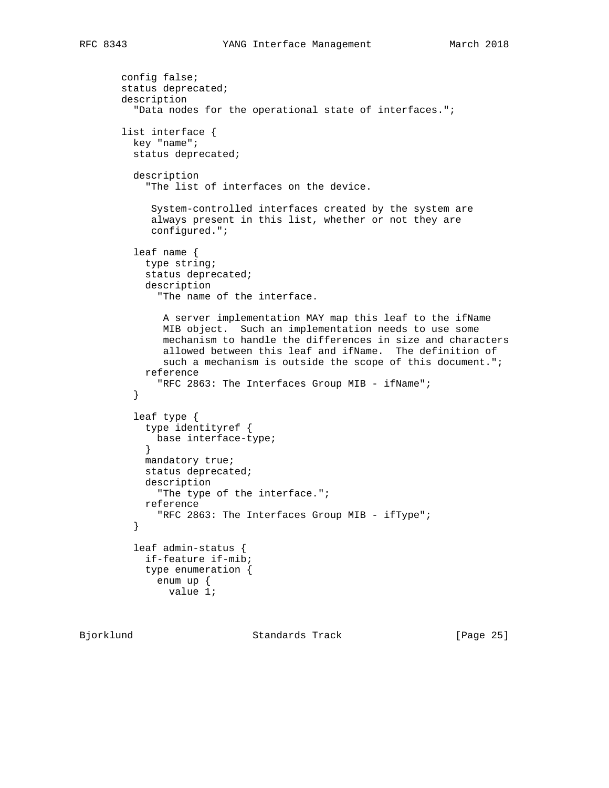```
 config false;
       status deprecated;
       description
          "Data nodes for the operational state of interfaces.";
       list interface {
         key "name";
         status deprecated;
         description
            "The list of interfaces on the device.
            System-controlled interfaces created by the system are
            always present in this list, whether or not they are
            configured.";
         leaf name {
           type string;
           status deprecated;
           description
              "The name of the interface.
              A server implementation MAY map this leaf to the ifName
              MIB object. Such an implementation needs to use some
              mechanism to handle the differences in size and characters
              allowed between this leaf and ifName. The definition of
             such a mechanism is outside the scope of this document.";
           reference
          "RFC 2863: The Interfaces Group MIB - ifName";
 }
         leaf type {
           type identityref {
             base interface-type;
 }
           mandatory true;
           status deprecated;
           description
             "The type of the interface.";
           reference
          "RFC 2863: The Interfaces Group MIB - ifType";
 }
         leaf admin-status {
           if-feature if-mib;
           type enumeration {
             enum up {
               value 1;
```
Bjorklund Standards Track [Page 25]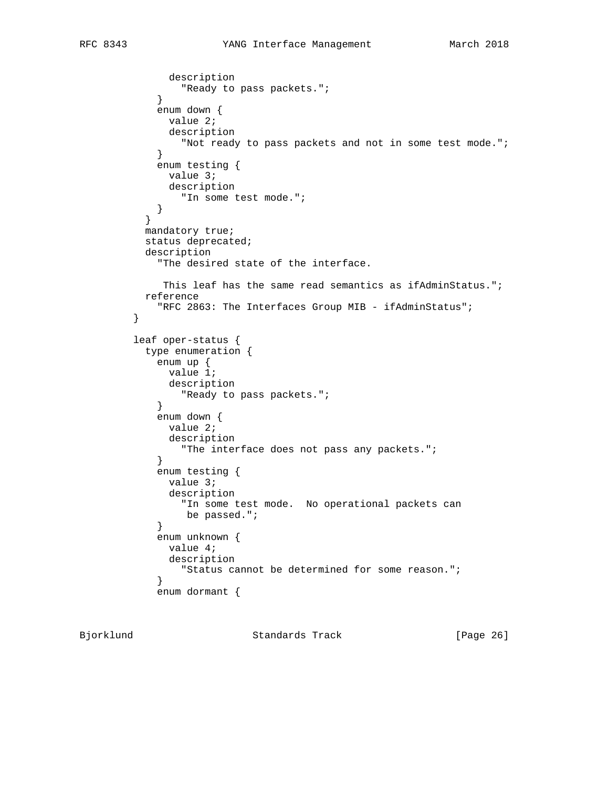```
 description
            "Ready to pass packets.";<br>}
 }
             enum down {
              value 2;
              description
             "Not ready to pass packets and not in some test mode.";
 }
             enum testing {
              value 3;
              description
             "In some test mode.";
 }
 }
           mandatory true;
           status deprecated;
           description
             "The desired state of the interface.
            This leaf has the same read semantics as ifAdminStatus.";
           reference
             "RFC 2863: The Interfaces Group MIB - ifAdminStatus";
         }
         leaf oper-status {
           type enumeration {
            enum up {
              value 1;
              description
            "Ready to pass packets.";<br>}
 }
             enum down {
              value 2;
              description
            "The interface does not pass any packets.";<br>}
 }
             enum testing {
              value 3;
              description
                "In some test mode. No operational packets can
            be passed.";<br>}
 }
             enum unknown {
              value 4;
              description
                "Status cannot be determined for some reason.";
 }
             enum dormant {
```
Bjorklund Standards Track [Page 26]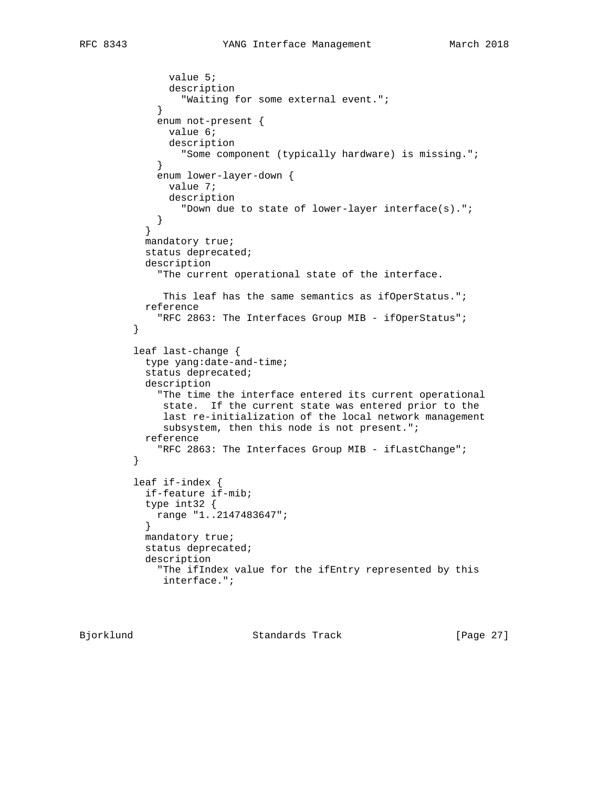```
 value 5;
               description
                 "Waiting for some external event.";
 }
             enum not-present {
              value 6;
               description
                 "Some component (typically hardware) is missing.";
 }
             enum lower-layer-down {
               value 7;
              description
             "Down due to state of lower-layer interface(s).";
 }
 }
           mandatory true;
           status deprecated;
           description
             "The current operational state of the interface.
             This leaf has the same semantics as ifOperStatus.";
           reference
         "RFC 2863: The Interfaces Group MIB - ifOperStatus";
 }
         leaf last-change {
           type yang:date-and-time;
           status deprecated;
           description
             "The time the interface entered its current operational
             state. If the current state was entered prior to the
              last re-initialization of the local network management
              subsystem, then this node is not present.";
           reference
         "RFC 2863: The Interfaces Group MIB - ifLastChange";
 }
         leaf if-index {
           if-feature if-mib;
           type int32 {
            range "1..2147483647";
 }
           mandatory true;
           status deprecated;
           description
             "The ifIndex value for the ifEntry represented by this
              interface.";
```
Bjorklund Standards Track [Page 27]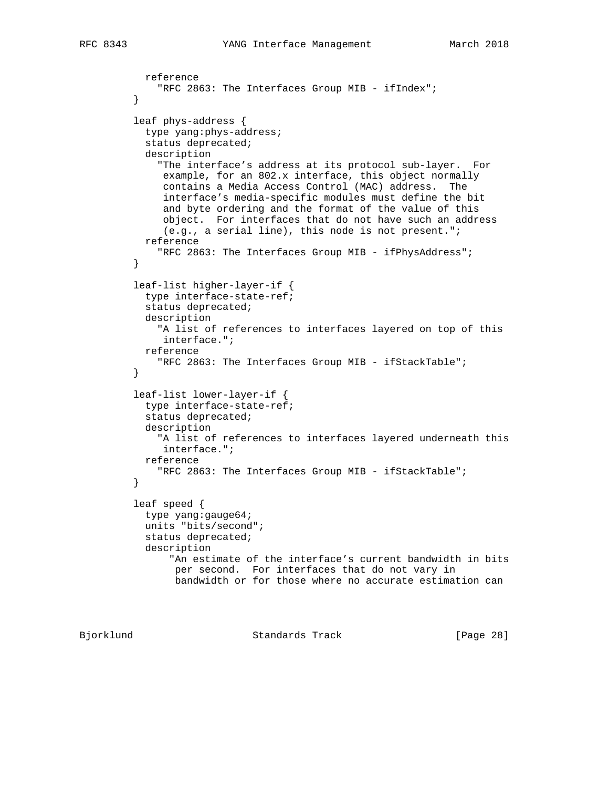```
 reference
          "RFC 2863: The Interfaces Group MIB - ifIndex";
 }
         leaf phys-address {
           type yang:phys-address;
           status deprecated;
           description
              "The interface's address at its protocol sub-layer. For
              example, for an 802.x interface, this object normally
              contains a Media Access Control (MAC) address. The
              interface's media-specific modules must define the bit
              and byte ordering and the format of the value of this
              object. For interfaces that do not have such an address
               (e.g., a serial line), this node is not present.";
           reference
          "RFC 2863: The Interfaces Group MIB - ifPhysAddress";
 }
         leaf-list higher-layer-if {
           type interface-state-ref;
           status deprecated;
           description
              "A list of references to interfaces layered on top of this
              interface.";
           reference
              "RFC 2863: The Interfaces Group MIB - ifStackTable";
 }
         leaf-list lower-layer-if {
           type interface-state-ref;
           status deprecated;
           description
              "A list of references to interfaces layered underneath this
              interface.";
           reference
              "RFC 2863: The Interfaces Group MIB - ifStackTable";
         }
         leaf speed {
           type yang:gauge64;
           units "bits/second";
           status deprecated;
           description
                "An estimate of the interface's current bandwidth in bits
                per second. For interfaces that do not vary in
                bandwidth or for those where no accurate estimation can
```
Bjorklund Standards Track [Page 28]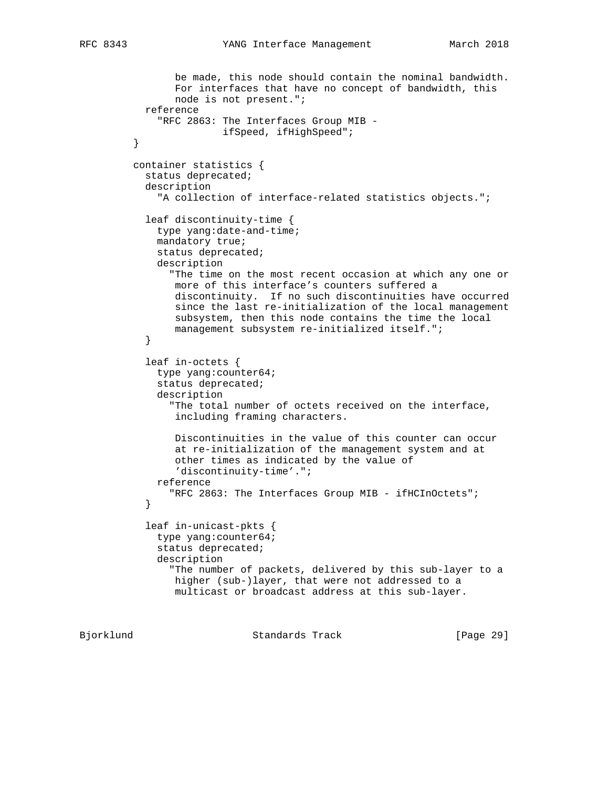```
 be made, this node should contain the nominal bandwidth.
                 For interfaces that have no concept of bandwidth, this
                 node is not present.";
            reference
              "RFC 2863: The Interfaces Group MIB -
                         ifSpeed, ifHighSpeed";
          }
         container statistics {
            status deprecated;
            description
              "A collection of interface-related statistics objects.";
            leaf discontinuity-time {
              type yang:date-and-time;
              mandatory true;
              status deprecated;
              description
                "The time on the most recent occasion at which any one or
                more of this interface's counters suffered a
                 discontinuity. If no such discontinuities have occurred
                 since the last re-initialization of the local management
                subsystem, then this node contains the time the local
           management subsystem re-initialized itself.";<br>}
 }
            leaf in-octets {
              type yang:counter64;
              status deprecated;
              description
                "The total number of octets received on the interface,
                 including framing characters.
                 Discontinuities in the value of this counter can occur
                 at re-initialization of the management system and at
                 other times as indicated by the value of
                 'discontinuity-time'.";
             reference
                "RFC 2863: The Interfaces Group MIB - ifHCInOctets";
 }
            leaf in-unicast-pkts {
              type yang:counter64;
              status deprecated;
              description
                "The number of packets, delivered by this sub-layer to a
                higher (sub-)layer, that were not addressed to a
                 multicast or broadcast address at this sub-layer.
```
Bjorklund Standards Track [Page 29]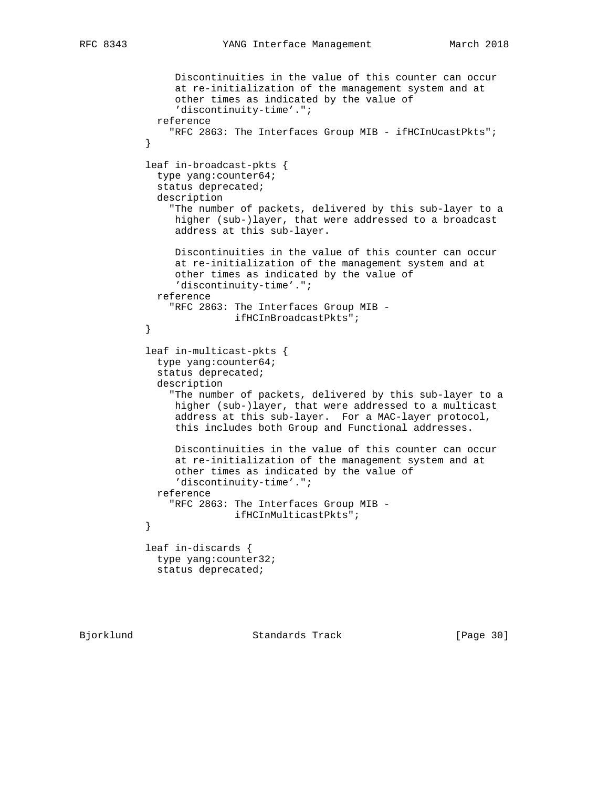```
 Discontinuities in the value of this counter can occur
                 at re-initialization of the management system and at
                 other times as indicated by the value of
                 'discontinuity-time'.";
             reference
                "RFC 2863: The Interfaces Group MIB - ifHCInUcastPkts";
 }
           leaf in-broadcast-pkts {
             type yang:counter64;
             status deprecated;
             description
                "The number of packets, delivered by this sub-layer to a
                higher (sub-)layer, that were addressed to a broadcast
                 address at this sub-layer.
                Discontinuities in the value of this counter can occur
                at re-initialization of the management system and at
                other times as indicated by the value of
                 'discontinuity-time'.";
             reference
                "RFC 2863: The Interfaces Group MIB -
                          ifHCInBroadcastPkts";
 }
            leaf in-multicast-pkts {
             type yang:counter64;
             status deprecated;
             description
                "The number of packets, delivered by this sub-layer to a
                higher (sub-)layer, that were addressed to a multicast
                 address at this sub-layer. For a MAC-layer protocol,
                 this includes both Group and Functional addresses.
                Discontinuities in the value of this counter can occur
                 at re-initialization of the management system and at
                 other times as indicated by the value of
                 'discontinuity-time'.";
             reference
                "RFC 2863: The Interfaces Group MIB -
           {\tt ifHCInMulticastPkts"} \label{thm:1} }
            leaf in-discards {
             type yang:counter32;
             status deprecated;
```
Bjorklund Standards Track [Page 30]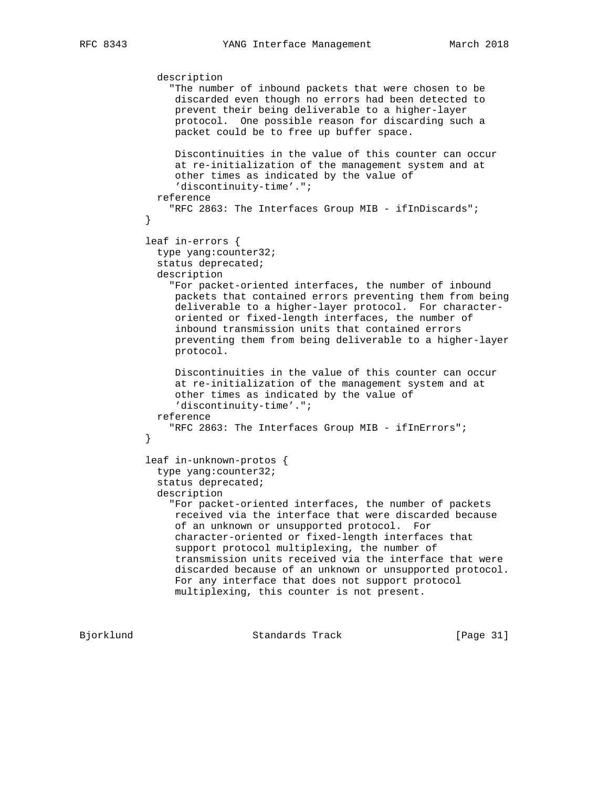```
 description
                "The number of inbound packets that were chosen to be
                 discarded even though no errors had been detected to
                 prevent their being deliverable to a higher-layer
                protocol. One possible reason for discarding such a
                packet could be to free up buffer space.
                Discontinuities in the value of this counter can occur
                 at re-initialization of the management system and at
                 other times as indicated by the value of
                 'discontinuity-time'.";
             reference
            "RFC 2863: The Interfaces Group MIB - ifInDiscards";
 }
            leaf in-errors {
             type yang:counter32;
             status deprecated;
             description
                "For packet-oriented interfaces, the number of inbound
                packets that contained errors preventing them from being
                deliverable to a higher-layer protocol. For character-
                 oriented or fixed-length interfaces, the number of
                 inbound transmission units that contained errors
                 preventing them from being deliverable to a higher-layer
                protocol.
                Discontinuities in the value of this counter can occur
                 at re-initialization of the management system and at
                 other times as indicated by the value of
                 'discontinuity-time'.";
             reference
                "RFC 2863: The Interfaces Group MIB - ifInErrors";
 }
            leaf in-unknown-protos {
             type yang:counter32;
              status deprecated;
             description
                "For packet-oriented interfaces, the number of packets
                received via the interface that were discarded because
                 of an unknown or unsupported protocol. For
                 character-oriented or fixed-length interfaces that
                 support protocol multiplexing, the number of
                 transmission units received via the interface that were
                 discarded because of an unknown or unsupported protocol.
                 For any interface that does not support protocol
                 multiplexing, this counter is not present.
```
Bjorklund Standards Track [Page 31]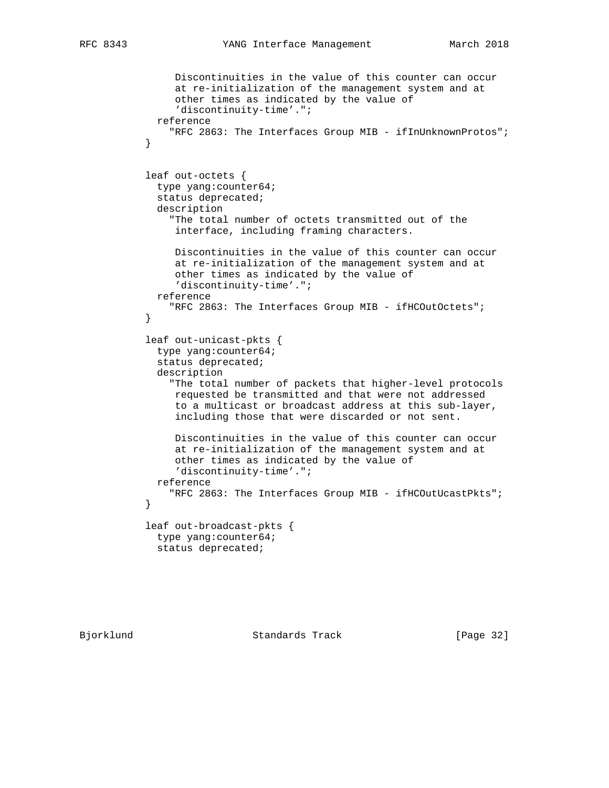```
 Discontinuities in the value of this counter can occur
                at re-initialization of the management system and at
                other times as indicated by the value of
                 'discontinuity-time'.";
             reference
            "RFC 2863: The Interfaces Group MIB - ifInUnknownProtos";
 }
           leaf out-octets {
             type yang:counter64;
             status deprecated;
             description
                "The total number of octets transmitted out of the
                interface, including framing characters.
                Discontinuities in the value of this counter can occur
                at re-initialization of the management system and at
                other times as indicated by the value of
                'discontinuity-time'.";
             reference
                "RFC 2863: The Interfaces Group MIB - ifHCOutOctets";
 }
           leaf out-unicast-pkts {
             type yang:counter64;
             status deprecated;
             description
                "The total number of packets that higher-level protocols
                requested be transmitted and that were not addressed
                to a multicast or broadcast address at this sub-layer,
                including those that were discarded or not sent.
                Discontinuities in the value of this counter can occur
                at re-initialization of the management system and at
                other times as indicated by the value of
                'discontinuity-time'.";
             reference
                "RFC 2863: The Interfaces Group MIB - ifHCOutUcastPkts";
 }
           leaf out-broadcast-pkts {
             type yang:counter64;
             status deprecated;
```
Bjorklund Standards Track [Page 32]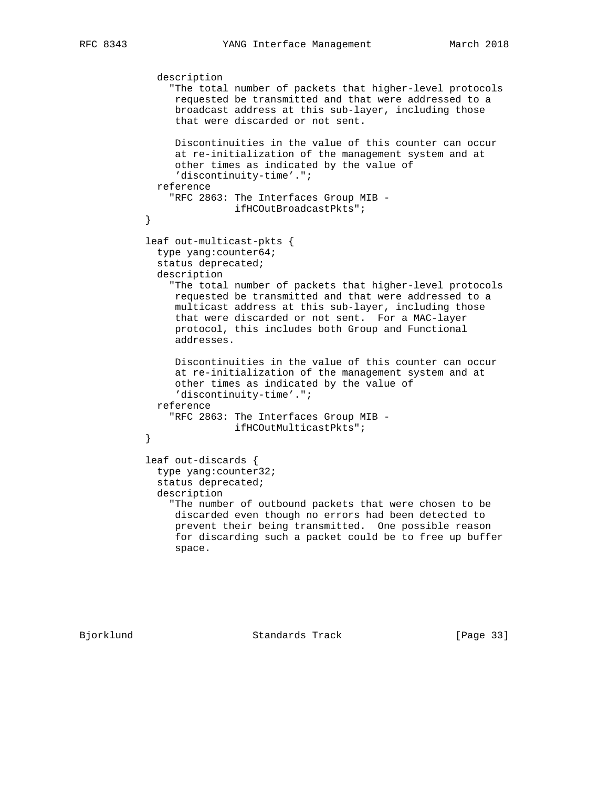```
 description
                "The total number of packets that higher-level protocols
                 requested be transmitted and that were addressed to a
                broadcast address at this sub-layer, including those
                that were discarded or not sent.
                Discontinuities in the value of this counter can occur
                at re-initialization of the management system and at
                other times as indicated by the value of
                 'discontinuity-time'.";
             reference
               "RFC 2863: The Interfaces Group MIB -
           ifHCOutBroadcastPkts";
 }
           leaf out-multicast-pkts {
             type yang:counter64;
             status deprecated;
             description
                "The total number of packets that higher-level protocols
                requested be transmitted and that were addressed to a
                multicast address at this sub-layer, including those
                that were discarded or not sent. For a MAC-layer
                protocol, this includes both Group and Functional
                addresses.
                Discontinuities in the value of this counter can occur
                at re-initialization of the management system and at
                other times as indicated by the value of
                 'discontinuity-time'.";
             reference
               "RFC 2863: The Interfaces Group MIB -
                         ifHCOutMulticastPkts";
 }
           leaf out-discards {
             type yang:counter32;
             status deprecated;
             description
                "The number of outbound packets that were chosen to be
                discarded even though no errors had been detected to
                prevent their being transmitted. One possible reason
                 for discarding such a packet could be to free up buffer
                 space.
```
Bjorklund Standards Track [Page 33]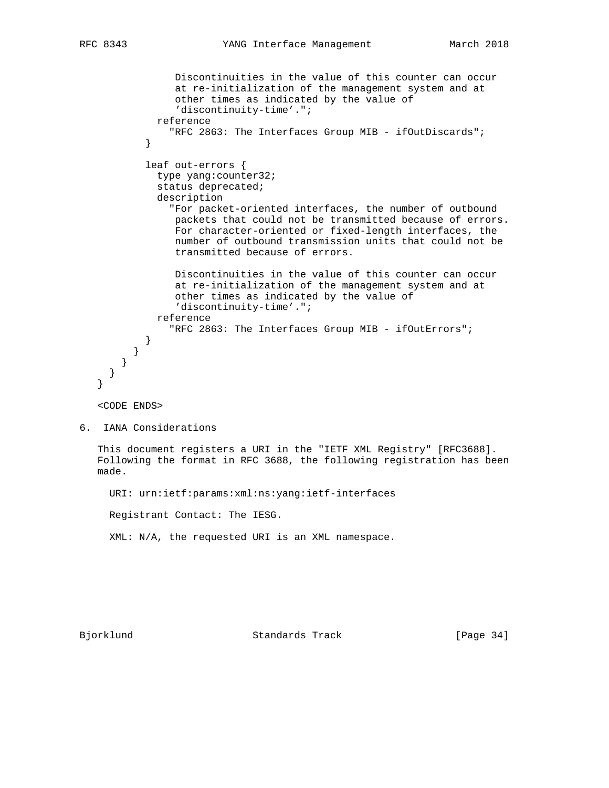```
 Discontinuities in the value of this counter can occur
                at re-initialization of the management system and at
                other times as indicated by the value of
                'discontinuity-time'.";
             reference
               "RFC 2863: The Interfaces Group MIB - ifOutDiscards";
 }
           leaf out-errors {
             type yang:counter32;
             status deprecated;
             description
               "For packet-oriented interfaces, the number of outbound
                packets that could not be transmitted because of errors.
                For character-oriented or fixed-length interfaces, the
                number of outbound transmission units that could not be
                transmitted because of errors.
                Discontinuities in the value of this counter can occur
                at re-initialization of the management system and at
                other times as indicated by the value of
                'discontinuity-time'.";
             reference
                "RFC 2863: The Interfaces Group MIB - ifOutErrors";
 }
         }
       }
     }
   }
   <CODE ENDS>
6. IANA Considerations
   This document registers a URI in the "IETF XML Registry" [RFC3688].
   Following the format in RFC 3688, the following registration has been
   made.
     URI: urn:ietf:params:xml:ns:yang:ietf-interfaces
     Registrant Contact: The IESG.
     XML: N/A, the requested URI is an XML namespace.
Bjorklund Standards Track [Page 34]
```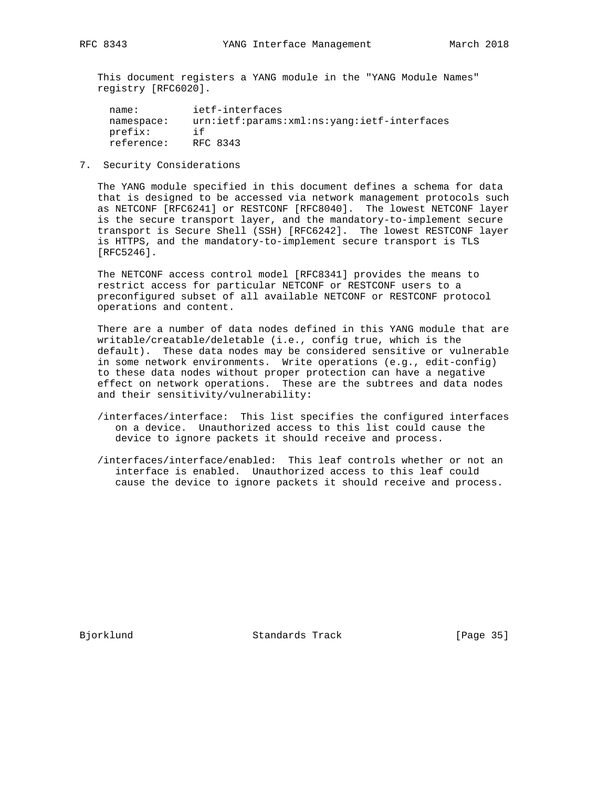This document registers a YANG module in the "YANG Module Names" registry [RFC6020].

| name:      | ietf-interfaces                             |
|------------|---------------------------------------------|
| namespace: | urn:ietf:params:xml:ns:yang:ietf-interfaces |
| prefix:    | i f                                         |
| reference: | RFC 8343                                    |

7. Security Considerations

 The YANG module specified in this document defines a schema for data that is designed to be accessed via network management protocols such as NETCONF [RFC6241] or RESTCONF [RFC8040]. The lowest NETCONF layer is the secure transport layer, and the mandatory-to-implement secure transport is Secure Shell (SSH) [RFC6242]. The lowest RESTCONF layer is HTTPS, and the mandatory-to-implement secure transport is TLS [RFC5246].

 The NETCONF access control model [RFC8341] provides the means to restrict access for particular NETCONF or RESTCONF users to a preconfigured subset of all available NETCONF or RESTCONF protocol operations and content.

 There are a number of data nodes defined in this YANG module that are writable/creatable/deletable (i.e., config true, which is the default). These data nodes may be considered sensitive or vulnerable in some network environments. Write operations (e.g., edit-config) to these data nodes without proper protection can have a negative effect on network operations. These are the subtrees and data nodes and their sensitivity/vulnerability:

- /interfaces/interface: This list specifies the configured interfaces on a device. Unauthorized access to this list could cause the device to ignore packets it should receive and process.
- /interfaces/interface/enabled: This leaf controls whether or not an interface is enabled. Unauthorized access to this leaf could cause the device to ignore packets it should receive and process.

Bjorklund Standards Track [Page 35]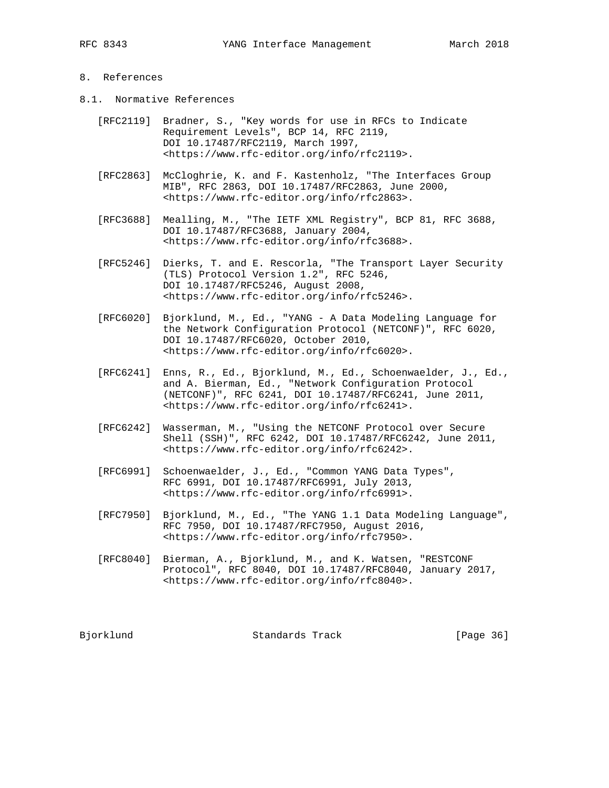### 8. References

- 8.1. Normative References
	- [RFC2119] Bradner, S., "Key words for use in RFCs to Indicate Requirement Levels", BCP 14, RFC 2119, DOI 10.17487/RFC2119, March 1997, <https://www.rfc-editor.org/info/rfc2119>.
	- [RFC2863] McCloghrie, K. and F. Kastenholz, "The Interfaces Group MIB", RFC 2863, DOI 10.17487/RFC2863, June 2000, <https://www.rfc-editor.org/info/rfc2863>.
	- [RFC3688] Mealling, M., "The IETF XML Registry", BCP 81, RFC 3688, DOI 10.17487/RFC3688, January 2004, <https://www.rfc-editor.org/info/rfc3688>.
	- [RFC5246] Dierks, T. and E. Rescorla, "The Transport Layer Security (TLS) Protocol Version 1.2", RFC 5246, DOI 10.17487/RFC5246, August 2008, <https://www.rfc-editor.org/info/rfc5246>.
	- [RFC6020] Bjorklund, M., Ed., "YANG A Data Modeling Language for the Network Configuration Protocol (NETCONF)", RFC 6020, DOI 10.17487/RFC6020, October 2010, <https://www.rfc-editor.org/info/rfc6020>.
- [RFC6241] Enns, R., Ed., Bjorklund, M., Ed., Schoenwaelder, J., Ed., and A. Bierman, Ed., "Network Configuration Protocol (NETCONF)", RFC 6241, DOI 10.17487/RFC6241, June 2011, <https://www.rfc-editor.org/info/rfc6241>.
	- [RFC6242] Wasserman, M., "Using the NETCONF Protocol over Secure Shell (SSH)", RFC 6242, DOI 10.17487/RFC6242, June 2011, <https://www.rfc-editor.org/info/rfc6242>.
	- [RFC6991] Schoenwaelder, J., Ed., "Common YANG Data Types", RFC 6991, DOI 10.17487/RFC6991, July 2013, <https://www.rfc-editor.org/info/rfc6991>.
	- [RFC7950] Bjorklund, M., Ed., "The YANG 1.1 Data Modeling Language", RFC 7950, DOI 10.17487/RFC7950, August 2016, <https://www.rfc-editor.org/info/rfc7950>.
	- [RFC8040] Bierman, A., Bjorklund, M., and K. Watsen, "RESTCONF Protocol", RFC 8040, DOI 10.17487/RFC8040, January 2017, <https://www.rfc-editor.org/info/rfc8040>.

Bjorklund Standards Track [Page 36]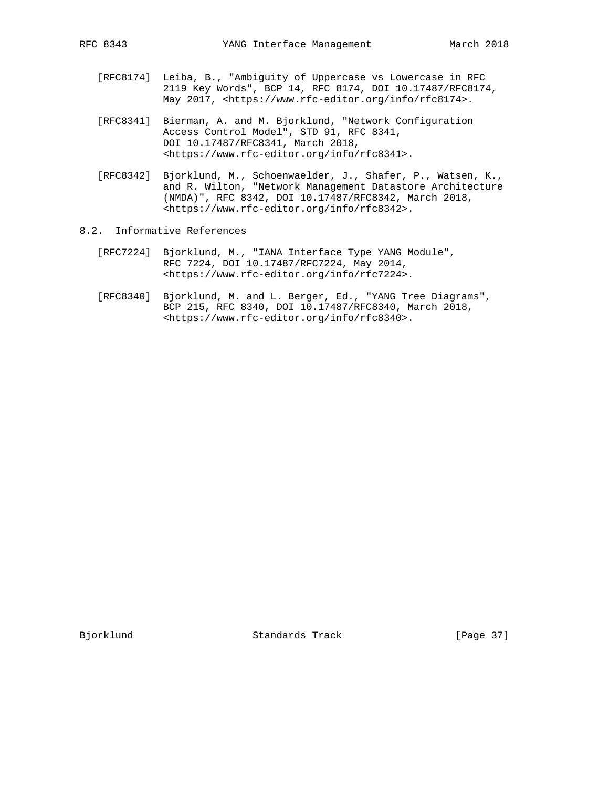- [RFC8174] Leiba, B., "Ambiguity of Uppercase vs Lowercase in RFC 2119 Key Words", BCP 14, RFC 8174, DOI 10.17487/RFC8174, May 2017, <https://www.rfc-editor.org/info/rfc8174>.
- [RFC8341] Bierman, A. and M. Bjorklund, "Network Configuration Access Control Model", STD 91, RFC 8341, DOI 10.17487/RFC8341, March 2018, <https://www.rfc-editor.org/info/rfc8341>.
- [RFC8342] Bjorklund, M., Schoenwaelder, J., Shafer, P., Watsen, K., and R. Wilton, "Network Management Datastore Architecture (NMDA)", RFC 8342, DOI 10.17487/RFC8342, March 2018, <https://www.rfc-editor.org/info/rfc8342>.
- 8.2. Informative References
	- [RFC7224] Bjorklund, M., "IANA Interface Type YANG Module", RFC 7224, DOI 10.17487/RFC7224, May 2014, <https://www.rfc-editor.org/info/rfc7224>.
	- [RFC8340] Bjorklund, M. and L. Berger, Ed., "YANG Tree Diagrams", BCP 215, RFC 8340, DOI 10.17487/RFC8340, March 2018, <https://www.rfc-editor.org/info/rfc8340>.

Bjorklund Standards Track [Page 37]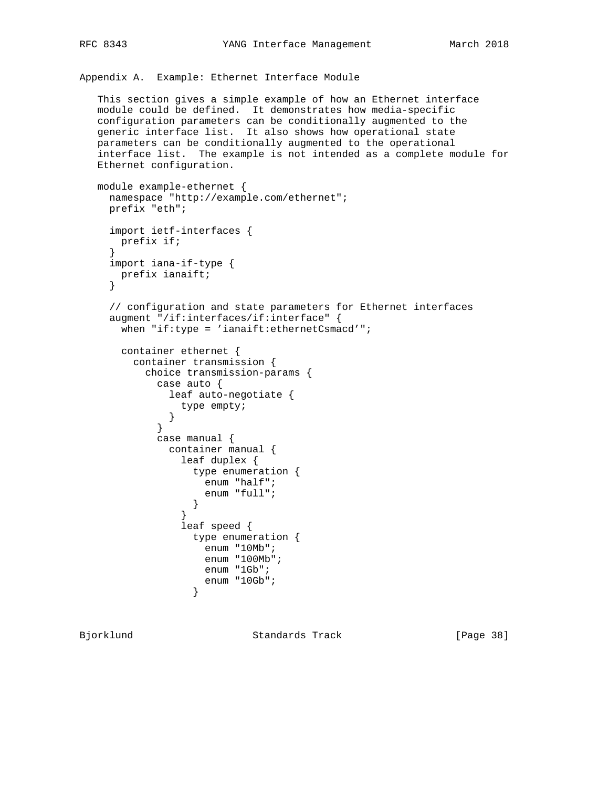```
Appendix A. Example: Ethernet Interface Module
```

```
 This section gives a simple example of how an Ethernet interface
 module could be defined. It demonstrates how media-specific
 configuration parameters can be conditionally augmented to the
 generic interface list. It also shows how operational state
 parameters can be conditionally augmented to the operational
 interface list. The example is not intended as a complete module for
 Ethernet configuration.
```

```
 module example-ethernet {
     namespace "http://example.com/ethernet";
     prefix "eth";
     import ietf-interfaces {
      prefix if;
 }
     import iana-if-type {
      prefix ianaift;
     }
     // configuration and state parameters for Ethernet interfaces
     augment "/if:interfaces/if:interface" {
       when "if:type = 'ianaift:ethernetCsmacd'";
       container ethernet {
         container transmission {
           choice transmission-params {
             case auto {
              leaf auto-negotiate {
                type empty;
 }
 }
             case manual {
              container manual {
                leaf duplex {
                 type enumeration {
                    enum "half";
                    enum "full";
 }
 }
                leaf speed {
                  type enumeration {
                   enum "10Mb";
                   enum "100Mb";
                   enum "1Gb";
                 enum "10Gb";<br>}
 }
```
Bjorklund Standards Track [Page 38]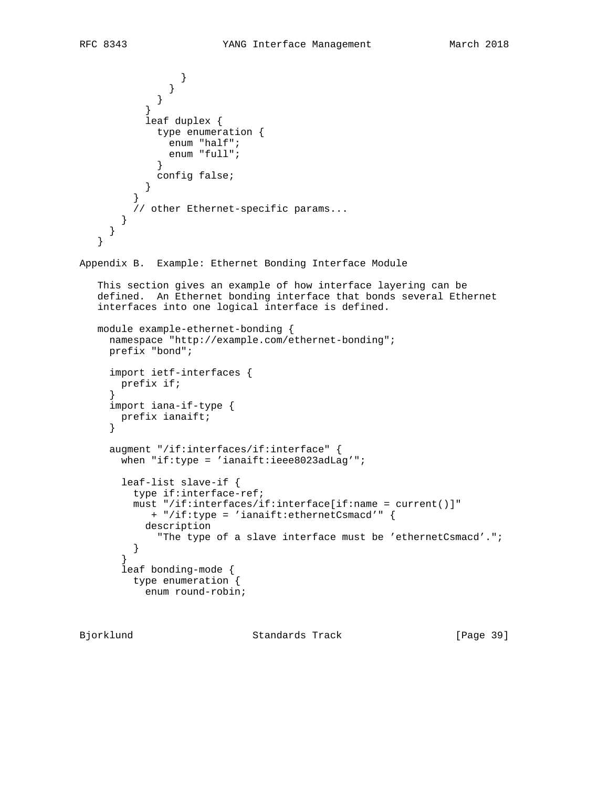```
 }
 }
 }
 }
           leaf duplex {
             type enumeration {
               enum "half";
               enum "full";
 }
          config false;
 }
 }
         // other Ethernet-specific params...
       }
     }
    }
Appendix B. Example: Ethernet Bonding Interface Module
    This section gives an example of how interface layering can be
    defined. An Ethernet bonding interface that bonds several Ethernet
    interfaces into one logical interface is defined.
   module example-ethernet-bonding {
     namespace "http://example.com/ethernet-bonding";
     prefix "bond";
     import ietf-interfaces {
       prefix if;
 }
     import iana-if-type {
       prefix ianaift;
      }
     augment "/if:interfaces/if:interface" {
      when "if:type = 'ianaift:ieee8023adLag'";
       leaf-list slave-if {
         type if:interface-ref;
         must "/if:interfaces/if:interface[if:name = current()]"
            + "/if:type = 'ianaift:ethernetCsmacd'" {
           description
             "The type of a slave interface must be 'ethernetCsmacd'.";
         }
       }
       leaf bonding-mode {
         type enumeration {
           enum round-robin;
```
Bjorklund Standards Track [Page 39]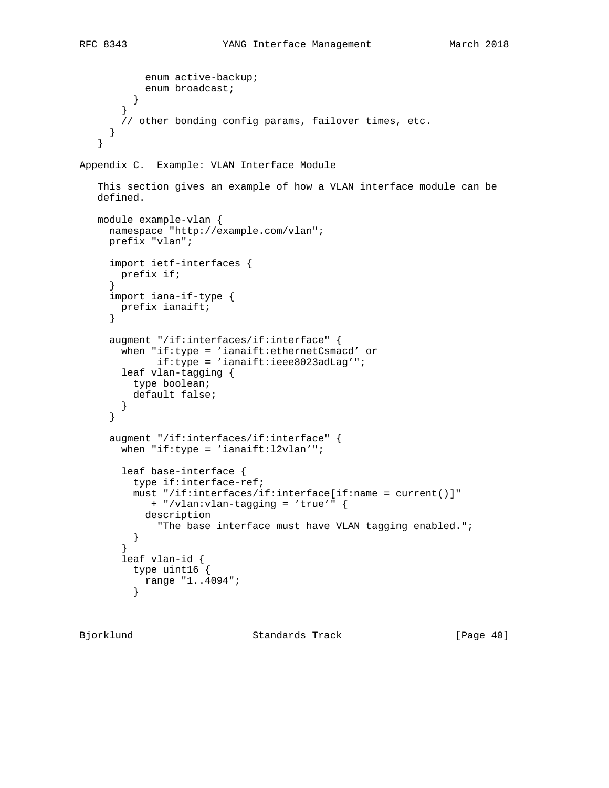```
 enum active-backup;
         enum broadcast;
 }
        }
        // other bonding config params, failover times, etc.
 }
    }
Appendix C. Example: VLAN Interface Module
    This section gives an example of how a VLAN interface module can be
   defined.
   module example-vlan {
     namespace "http://example.com/vlan";
     prefix "vlan";
     import ietf-interfaces {
       prefix if;
 }
     import iana-if-type {
       prefix ianaift;
      }
      augment "/if:interfaces/if:interface" {
 when "if:type = 'ianaift:ethernetCsmacd' or
 if:type = 'ianaift:ieee8023adLag'";
       leaf vlan-tagging {
         type boolean;
         default false;
        }
      }
     augment "/if:interfaces/if:interface" {
      when "if:type = 'ianaift:12vlan'";
       leaf base-interface {
         type if:interface-ref;
         must "/if:interfaces/if:interface[if:name = current()]"
            + "/vlan:vlan-tagging = 'true'" {
           description
              "The base interface must have VLAN tagging enabled.";
         }
 }
        leaf vlan-id {
         type uint16 {
         range "1..4094";<br>}
 }
```
Bjorklund Standards Track [Page 40]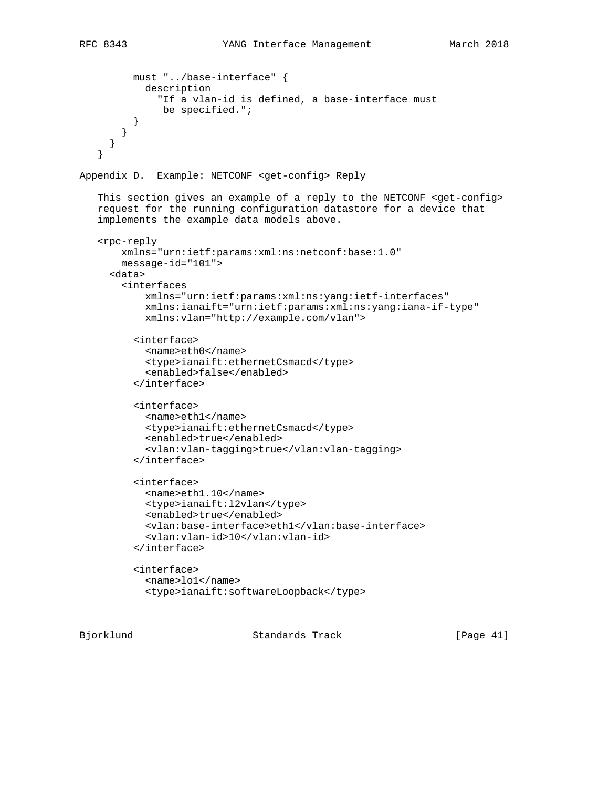```
 must "../base-interface" {
            description
              "If a vlan-id is defined, a base-interface must
               be specified.";
          }
        }
      }
    }
Appendix D. Example: NETCONF <get-config> Reply
    This section gives an example of a reply to the NETCONF <get-config>
    request for the running configuration datastore for a device that
    implements the example data models above.
    <rpc-reply
        xmlns="urn:ietf:params:xml:ns:netconf:base:1.0"
        message-id="101">
      <data>
        <interfaces
            xmlns="urn:ietf:params:xml:ns:yang:ietf-interfaces"
            xmlns:ianaift="urn:ietf:params:xml:ns:yang:iana-if-type"
            xmlns:vlan="http://example.com/vlan">
          <interface>
            <name>eth0</name>
            <type>ianaift:ethernetCsmacd</type>
            <enabled>false</enabled>
          </interface>
          <interface>
            <name>eth1</name>
            <type>ianaift:ethernetCsmacd</type>
            <enabled>true</enabled>
            <vlan:vlan-tagging>true</vlan:vlan-tagging>
          </interface>
          <interface>
            <name>eth1.10</name>
            <type>ianaift:l2vlan</type>
            <enabled>true</enabled>
            <vlan:base-interface>eth1</vlan:base-interface>
            <vlan:vlan-id>10</vlan:vlan-id>
          </interface>
          <interface>
            <name>lo1</name>
            <type>ianaift:softwareLoopback</type>
```
Bjorklund Standards Track [Page 41]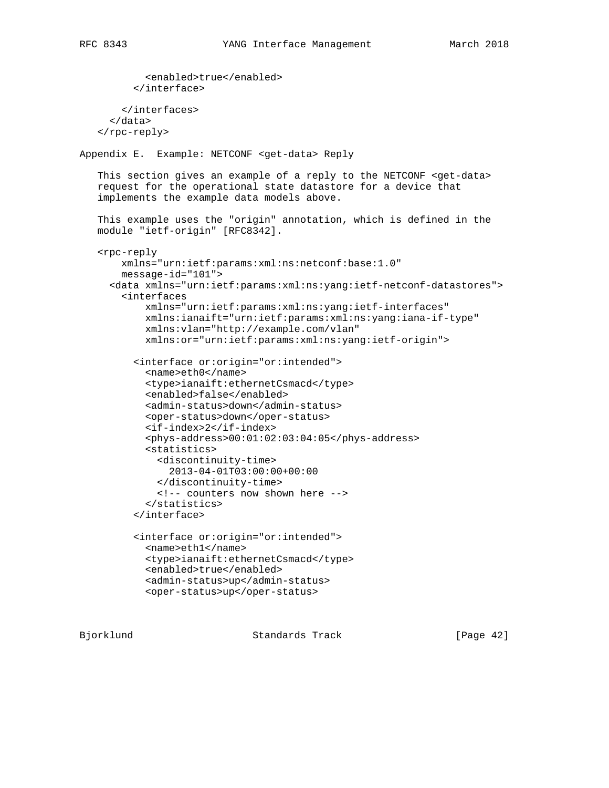```
 <enabled>true</enabled>
          </interface>
        </interfaces>
      </data>
    </rpc-reply>
Appendix E. Example: NETCONF <get-data> Reply
    This section gives an example of a reply to the NETCONF <get-data>
    request for the operational state datastore for a device that
    implements the example data models above.
    This example uses the "origin" annotation, which is defined in the
    module "ietf-origin" [RFC8342].
    <rpc-reply
        xmlns="urn:ietf:params:xml:ns:netconf:base:1.0"
        message-id="101">
      <data xmlns="urn:ietf:params:xml:ns:yang:ietf-netconf-datastores">
        <interfaces
            xmlns="urn:ietf:params:xml:ns:yang:ietf-interfaces"
            xmlns:ianaift="urn:ietf:params:xml:ns:yang:iana-if-type"
            xmlns:vlan="http://example.com/vlan"
            xmlns:or="urn:ietf:params:xml:ns:yang:ietf-origin">
          <interface or:origin="or:intended">
            <name>eth0</name>
            <type>ianaift:ethernetCsmacd</type>
            <enabled>false</enabled>
            <admin-status>down</admin-status>
            <oper-status>down</oper-status>
            <if-index>2</if-index>
            <phys-address>00:01:02:03:04:05</phys-address>
            <statistics>
              <discontinuity-time>
                2013-04-01T03:00:00+00:00
              </discontinuity-time>
              <!-- counters now shown here -->
            </statistics>
          </interface>
          <interface or:origin="or:intended">
            <name>eth1</name>
            <type>ianaift:ethernetCsmacd</type>
            <enabled>true</enabled>
            <admin-status>up</admin-status>
            <oper-status>up</oper-status>
```
Bjorklund Standards Track [Page 42]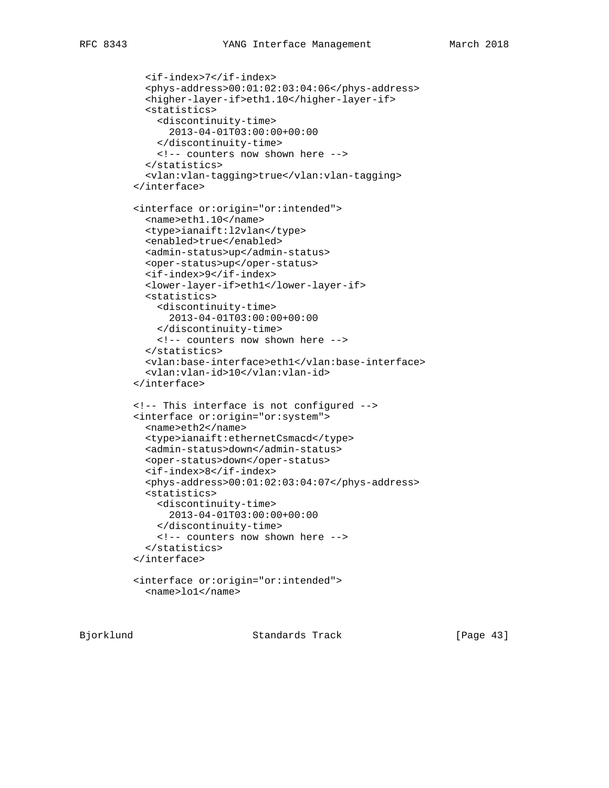```
 <if-index>7</if-index>
   <phys-address>00:01:02:03:04:06</phys-address>
   <higher-layer-if>eth1.10</higher-layer-if>
   <statistics>
     <discontinuity-time>
       2013-04-01T03:00:00+00:00
     </discontinuity-time>
     <!-- counters now shown here -->
   </statistics>
   <vlan:vlan-tagging>true</vlan:vlan-tagging>
 </interface>
 <interface or:origin="or:intended">
   <name>eth1.10</name>
   <type>ianaift:l2vlan</type>
   <enabled>true</enabled>
   <admin-status>up</admin-status>
   <oper-status>up</oper-status>
   <if-index>9</if-index>
   <lower-layer-if>eth1</lower-layer-if>
   <statistics>
     <discontinuity-time>
       2013-04-01T03:00:00+00:00
     </discontinuity-time>
     <!-- counters now shown here -->
   </statistics>
   <vlan:base-interface>eth1</vlan:base-interface>
   <vlan:vlan-id>10</vlan:vlan-id>
 </interface>
 <!-- This interface is not configured -->
 <interface or:origin="or:system">
   <name>eth2</name>
   <type>ianaift:ethernetCsmacd</type>
   <admin-status>down</admin-status>
   <oper-status>down</oper-status>
   <if-index>8</if-index>
   <phys-address>00:01:02:03:04:07</phys-address>
   <statistics>
     <discontinuity-time>
       2013-04-01T03:00:00+00:00
     </discontinuity-time>
     <!-- counters now shown here -->
   </statistics>
 </interface>
 <interface or:origin="or:intended">
   <name>lo1</name>
```
Bjorklund Standards Track [Page 43]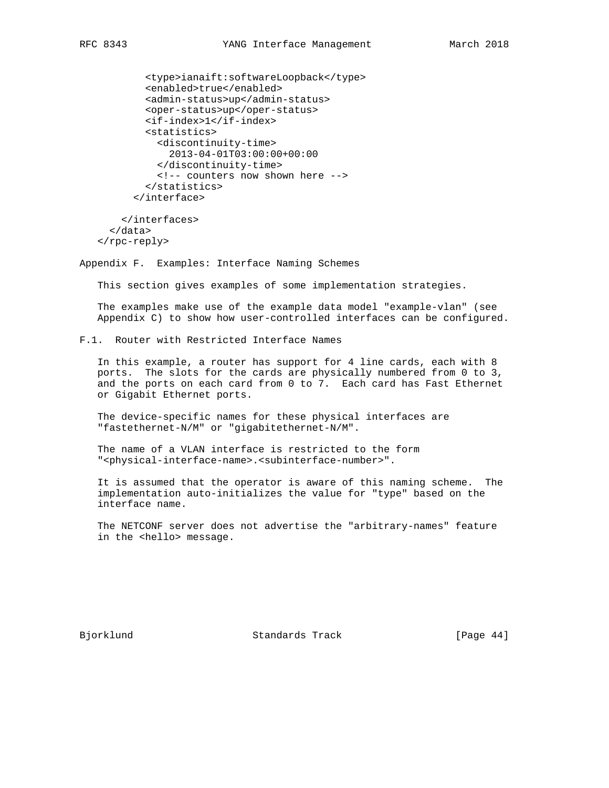```
 <type>ianaift:softwareLoopback</type>
     <enabled>true</enabled>
     <admin-status>up</admin-status>
     <oper-status>up</oper-status>
     <if-index>1</if-index>
     <statistics>
       <discontinuity-time>
        2013-04-01T03:00:00+00:00
       </discontinuity-time>
       <!-- counters now shown here -->
     </statistics>
   </interface>
 </interfaces>
```
 </data> </rpc-reply>

Appendix F. Examples: Interface Naming Schemes

This section gives examples of some implementation strategies.

 The examples make use of the example data model "example-vlan" (see Appendix C) to show how user-controlled interfaces can be configured.

F.1. Router with Restricted Interface Names

 In this example, a router has support for 4 line cards, each with 8 ports. The slots for the cards are physically numbered from 0 to 3, and the ports on each card from 0 to 7. Each card has Fast Ethernet or Gigabit Ethernet ports.

 The device-specific names for these physical interfaces are "fastethernet-N/M" or "gigabitethernet-N/M".

 The name of a VLAN interface is restricted to the form "<physical-interface-name>.<subinterface-number>".

 It is assumed that the operator is aware of this naming scheme. The implementation auto-initializes the value for "type" based on the interface name.

 The NETCONF server does not advertise the "arbitrary-names" feature in the <hello> message.

Bjorklund Standards Track [Page 44]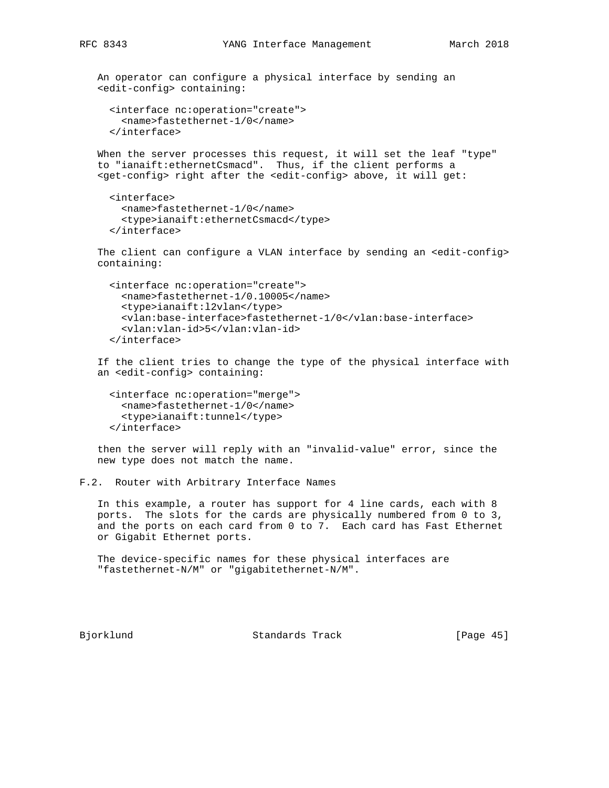An operator can configure a physical interface by sending an <edit-config> containing:

```
 <interface nc:operation="create">
   <name>fastethernet-1/0</name>
 </interface>
```
 When the server processes this request, it will set the leaf "type" to "ianaift:ethernetCsmacd". Thus, if the client performs a <get-config> right after the <edit-config> above, it will get:

```
 <interface>
   <name>fastethernet-1/0</name>
   <type>ianaift:ethernetCsmacd</type>
 </interface>
```
The client can configure a VLAN interface by sending an <edit-config> containing:

```
 <interface nc:operation="create">
   <name>fastethernet-1/0.10005</name>
   <type>ianaift:l2vlan</type>
  <vlan:base-interface>fastethernet-1/0</vlan:base-interface>
  <vlan:vlan-id>5</vlan:vlan-id>
 </interface>
```
 If the client tries to change the type of the physical interface with an <edit-config> containing:

 <interface nc:operation="merge"> <name>fastethernet-1/0</name> <type>ianaift:tunnel</type> </interface>

 then the server will reply with an "invalid-value" error, since the new type does not match the name.

```
F.2. Router with Arbitrary Interface Names
```
 In this example, a router has support for 4 line cards, each with 8 ports. The slots for the cards are physically numbered from 0 to 3, and the ports on each card from 0 to 7. Each card has Fast Ethernet or Gigabit Ethernet ports.

 The device-specific names for these physical interfaces are "fastethernet-N/M" or "gigabitethernet-N/M".

Bjorklund Standards Track [Page 45]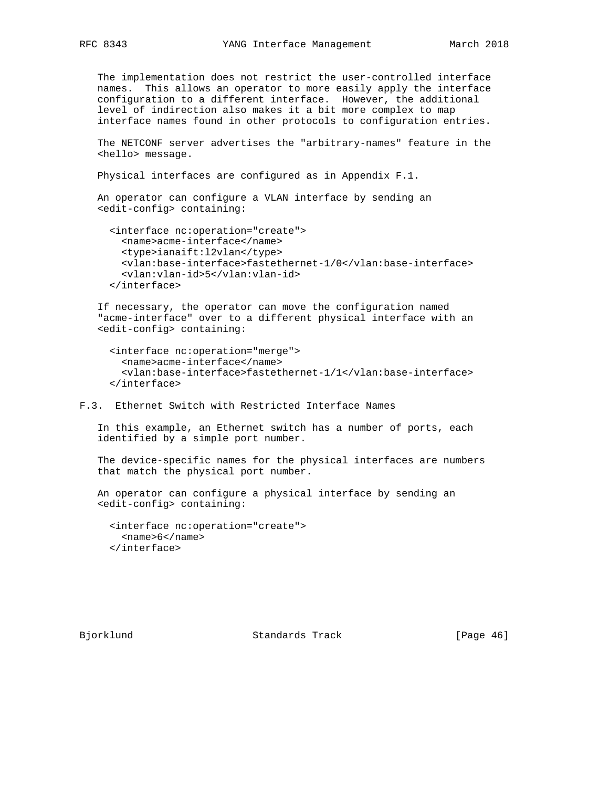The implementation does not restrict the user-controlled interface names. This allows an operator to more easily apply the interface configuration to a different interface. However, the additional level of indirection also makes it a bit more complex to map interface names found in other protocols to configuration entries.

 The NETCONF server advertises the "arbitrary-names" feature in the <hello> message.

Physical interfaces are configured as in Appendix F.1.

 An operator can configure a VLAN interface by sending an <edit-config> containing:

```
 <interface nc:operation="create">
  <name>acme-interface</name>
   <type>ianaift:l2vlan</type>
   <vlan:base-interface>fastethernet-1/0</vlan:base-interface>
   <vlan:vlan-id>5</vlan:vlan-id>
 </interface>
```
 If necessary, the operator can move the configuration named "acme-interface" over to a different physical interface with an <edit-config> containing:

```
 <interface nc:operation="merge">
   <name>acme-interface</name>
   <vlan:base-interface>fastethernet-1/1</vlan:base-interface>
 </interface>
```
F.3. Ethernet Switch with Restricted Interface Names

 In this example, an Ethernet switch has a number of ports, each identified by a simple port number.

 The device-specific names for the physical interfaces are numbers that match the physical port number.

 An operator can configure a physical interface by sending an <edit-config> containing:

 <interface nc:operation="create"> <name>6</name> </interface>

Bjorklund Standards Track [Page 46]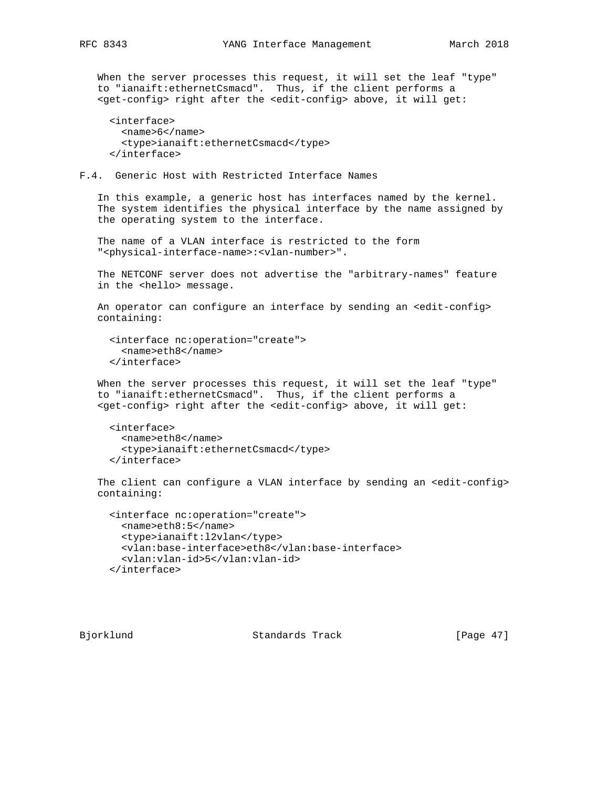When the server processes this request, it will set the leaf "type" to "ianaift:ethernetCsmacd". Thus, if the client performs a <get-config> right after the <edit-config> above, it will get:

```
 <interface>
   <name>6</name>
   <type>ianaift:ethernetCsmacd</type>
 </interface>
```
### F.4. Generic Host with Restricted Interface Names

 In this example, a generic host has interfaces named by the kernel. The system identifies the physical interface by the name assigned by the operating system to the interface.

 The name of a VLAN interface is restricted to the form "<physical-interface-name>:<vlan-number>".

 The NETCONF server does not advertise the "arbitrary-names" feature in the <hello> message.

An operator can configure an interface by sending an <edit-config> containing:

```
 <interface nc:operation="create">
   <name>eth8</name>
 </interface>
```
 When the server processes this request, it will set the leaf "type" to "ianaift:ethernetCsmacd". Thus, if the client performs a <get-config> right after the <edit-config> above, it will get:

```
 <interface>
   <name>eth8</name>
   <type>ianaift:ethernetCsmacd</type>
 </interface>
```
The client can configure a VLAN interface by sending an <edit-config> containing:

```
 <interface nc:operation="create">
  <name>eth8:5</name>
   <type>ianaift:l2vlan</type>
   <vlan:base-interface>eth8</vlan:base-interface>
   <vlan:vlan-id>5</vlan:vlan-id>
 </interface>
```
Bjorklund Standards Track [Page 47]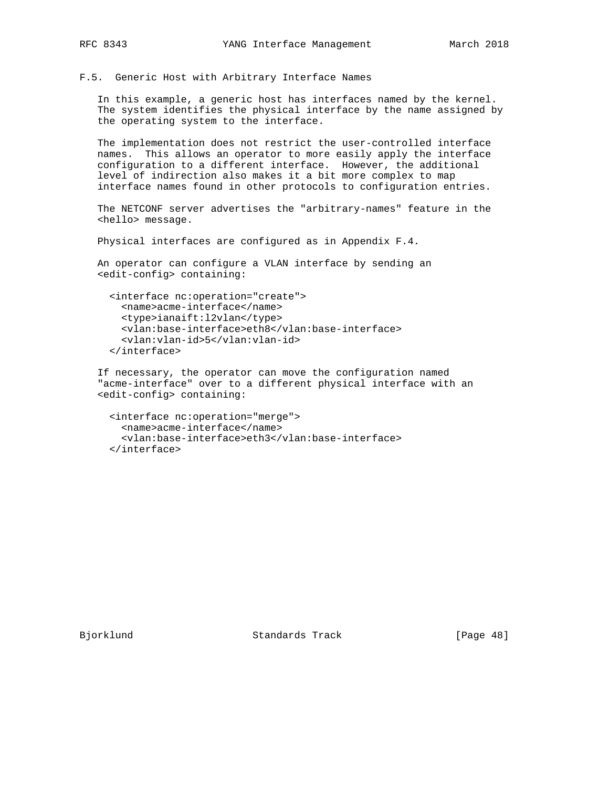F.5. Generic Host with Arbitrary Interface Names

 In this example, a generic host has interfaces named by the kernel. The system identifies the physical interface by the name assigned by the operating system to the interface.

 The implementation does not restrict the user-controlled interface names. This allows an operator to more easily apply the interface configuration to a different interface. However, the additional level of indirection also makes it a bit more complex to map interface names found in other protocols to configuration entries.

 The NETCONF server advertises the "arbitrary-names" feature in the <hello> message.

Physical interfaces are configured as in Appendix F.4.

 An operator can configure a VLAN interface by sending an <edit-config> containing:

```
 <interface nc:operation="create">
  <name>acme-interface</name>
  <type>ianaift:l2vlan</type>
  <vlan:base-interface>eth8</vlan:base-interface>
   <vlan:vlan-id>5</vlan:vlan-id>
 </interface>
```
 If necessary, the operator can move the configuration named "acme-interface" over to a different physical interface with an <edit-config> containing:

```
 <interface nc:operation="merge">
   <name>acme-interface</name>
   <vlan:base-interface>eth3</vlan:base-interface>
 </interface>
```
Bjorklund Standards Track [Page 48]